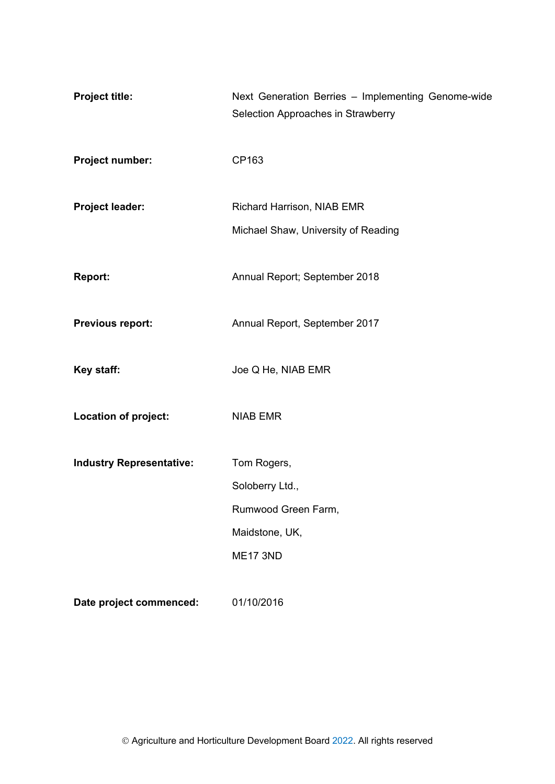| <b>Project title:</b>           | Next Generation Berries - Implementing Genome-wide<br>Selection Approaches in Strawberry |
|---------------------------------|------------------------------------------------------------------------------------------|
| Project number:                 | CP163                                                                                    |
| Project leader:                 | Richard Harrison, NIAB EMR                                                               |
|                                 | Michael Shaw, University of Reading                                                      |
| <b>Report:</b>                  | Annual Report; September 2018                                                            |
| <b>Previous report:</b>         | Annual Report, September 2017                                                            |
| Key staff:                      | Joe Q He, NIAB EMR                                                                       |
| Location of project:            | <b>NIAB EMR</b>                                                                          |
| <b>Industry Representative:</b> | Tom Rogers,                                                                              |
|                                 | Soloberry Ltd.,                                                                          |
|                                 | Rumwood Green Farm,                                                                      |
|                                 | Maidstone, UK,                                                                           |
|                                 | <b>ME17 3ND</b>                                                                          |
| Date project commenced:         | 01/10/2016                                                                               |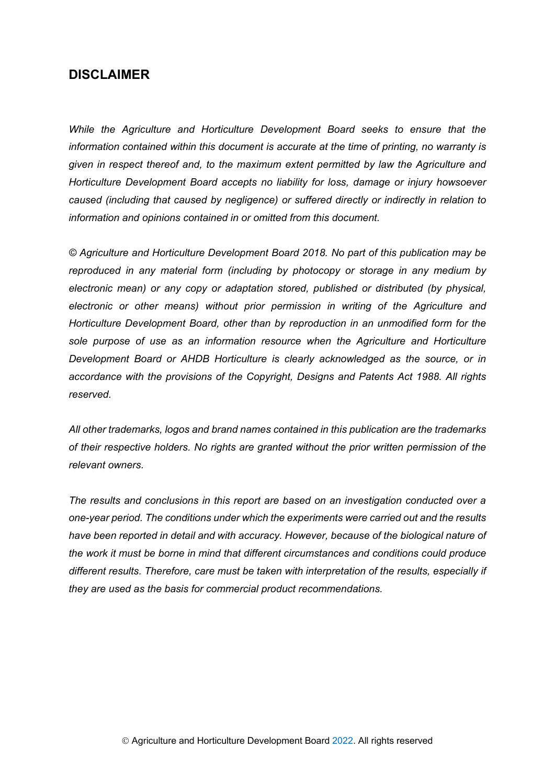# **DISCLAIMER**

*While the Agriculture and Horticulture Development Board seeks to ensure that the information contained within this document is accurate at the time of printing, no warranty is given in respect thereof and, to the maximum extent permitted by law the Agriculture and Horticulture Development Board accepts no liability for loss, damage or injury howsoever caused (including that caused by negligence) or suffered directly or indirectly in relation to information and opinions contained in or omitted from this document.* 

*© Agriculture and Horticulture Development Board 2018. No part of this publication may be reproduced in any material form (including by photocopy or storage in any medium by electronic mean) or any copy or adaptation stored, published or distributed (by physical, electronic or other means) without prior permission in writing of the Agriculture and Horticulture Development Board, other than by reproduction in an unmodified form for the sole purpose of use as an information resource when the Agriculture and Horticulture Development Board or AHDB Horticulture is clearly acknowledged as the source, or in accordance with the provisions of the Copyright, Designs and Patents Act 1988. All rights reserved.*

*All other trademarks, logos and brand names contained in this publication are the trademarks of their respective holders. No rights are granted without the prior written permission of the relevant owners.* 

*The results and conclusions in this report are based on an investigation conducted over a one-year period. The conditions under which the experiments were carried out and the results*  have been reported in detail and with accuracy. However, because of the biological nature of *the work it must be borne in mind that different circumstances and conditions could produce different results. Therefore, care must be taken with interpretation of the results, especially if they are used as the basis for commercial product recommendations.*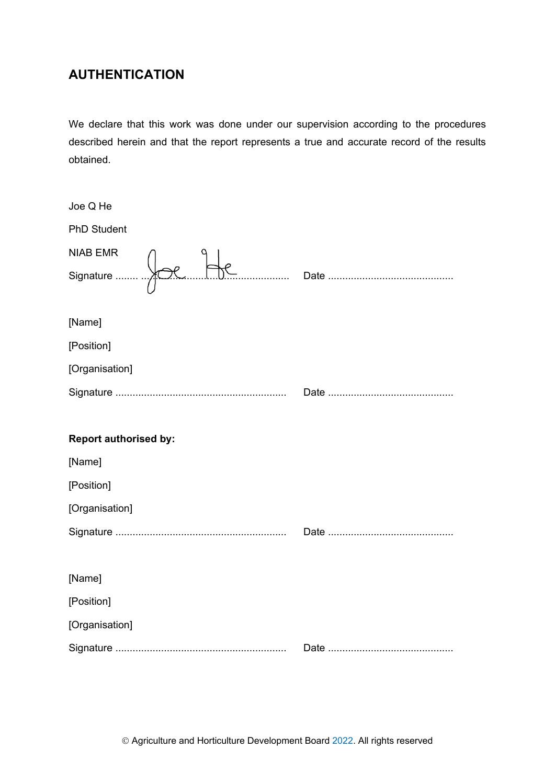# **AUTHENTICATION**

We declare that this work was done under our supervision according to the procedures described herein and that the report represents a true and accurate record of the results obtained.

| Joe Q He                     |  |
|------------------------------|--|
| <b>PhD Student</b>           |  |
| <b>NIAB EMR</b>              |  |
|                              |  |
| [Name]                       |  |
| [Position]                   |  |
| [Organisation]               |  |
|                              |  |
|                              |  |
|                              |  |
| <b>Report authorised by:</b> |  |
| [Name]                       |  |
| [Position]                   |  |
| [Organisation]               |  |
|                              |  |
|                              |  |
| [Name]                       |  |
| [Position]                   |  |
| [Organisation]               |  |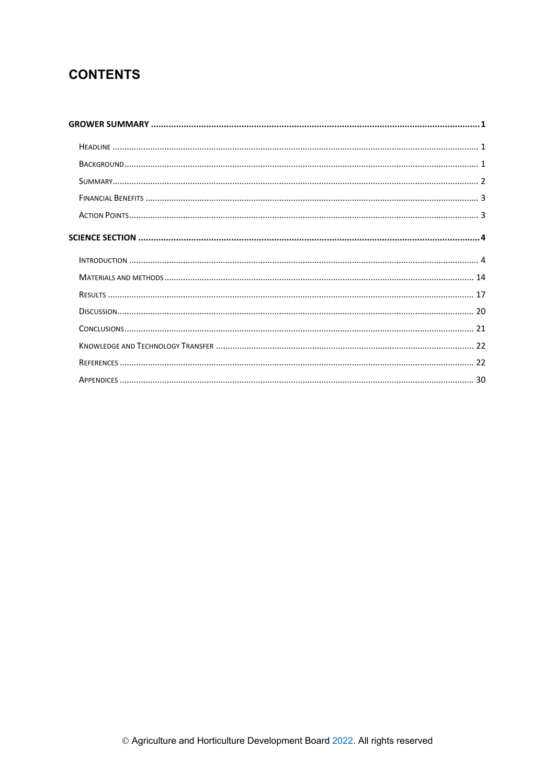# **CONTENTS**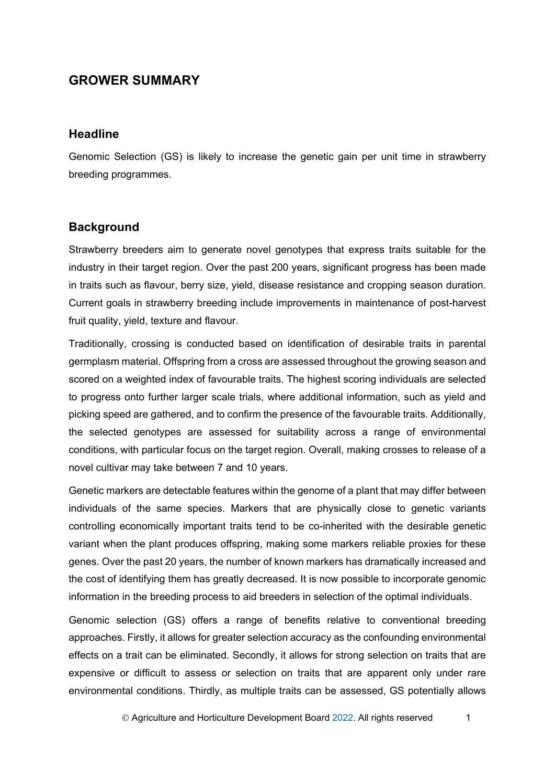# <span id="page-4-0"></span>**GROWER SUMMARY**

## <span id="page-4-1"></span>**Headline**

Genomic Selection (GS) is likely to increase the genetic gain per unit time in strawberry breeding programmes.

## <span id="page-4-2"></span>**Background**

Strawberry breeders aim to generate novel genotypes that express traits suitable for the industry in their target region. Over the past 200 years, significant progress has been made in traits such as flavour, berry size, yield, disease resistance and cropping season duration. Current goals in strawberry breeding include improvements in maintenance of post-harvest fruit quality, yield, texture and flavour.

Traditionally, crossing is conducted based on identification of desirable traits in parental germplasm material. Offspring from a cross are assessed throughout the growing season and scored on a weighted index of favourable traits. The highest scoring individuals are selected to progress onto further larger scale trials, where additional information, such as yield and picking speed are gathered, and to confirm the presence of the favourable traits. Additionally, the selected genotypes are assessed for suitability across a range of environmental conditions, with particular focus on the target region. Overall, making crosses to release of a novel cultivar may take between 7 and 10 years.

Genetic markers are detectable features within the genome of a plant that may differ between individuals of the same species. Markers that are physically close to genetic variants controlling economically important traits tend to be co-inherited with the desirable genetic variant when the plant produces offspring, making some markers reliable proxies for these genes. Over the past 20 years, the number of known markers has dramatically increased and the cost of identifying them has greatly decreased. It is now possible to incorporate genomic information in the breeding process to aid breeders in selection of the optimal individuals.

Genomic selection (GS) offers a range of benefits relative to conventional breeding approaches. Firstly, it allows for greater selection accuracy as the confounding environmental effects on a trait can be eliminated. Secondly, it allows for strong selection on traits that are expensive or difficult to assess or selection on traits that are apparent only under rare environmental conditions. Thirdly, as multiple traits can be assessed, GS potentially allows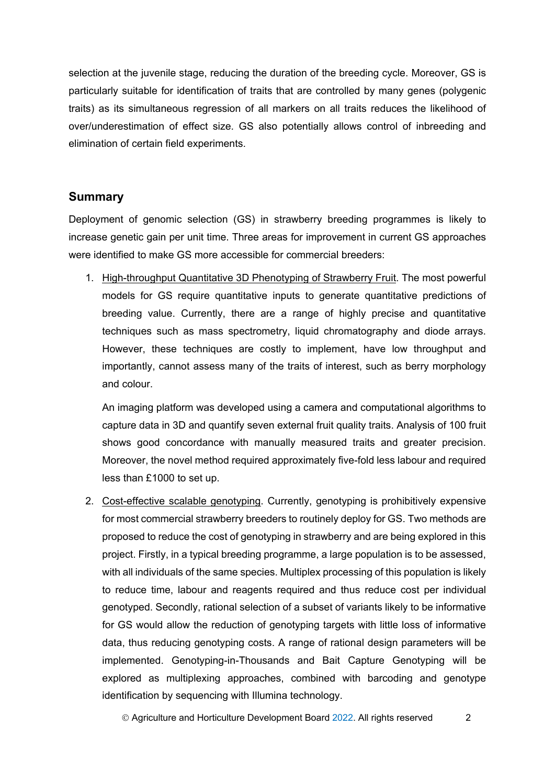selection at the juvenile stage, reducing the duration of the breeding cycle. Moreover, GS is particularly suitable for identification of traits that are controlled by many genes (polygenic traits) as its simultaneous regression of all markers on all traits reduces the likelihood of over/underestimation of effect size. GS also potentially allows control of inbreeding and elimination of certain field experiments.

## <span id="page-5-0"></span>**Summary**

Deployment of genomic selection (GS) in strawberry breeding programmes is likely to increase genetic gain per unit time. Three areas for improvement in current GS approaches were identified to make GS more accessible for commercial breeders:

1. High-throughput Quantitative 3D Phenotyping of Strawberry Fruit. The most powerful models for GS require quantitative inputs to generate quantitative predictions of breeding value. Currently, there are a range of highly precise and quantitative techniques such as mass spectrometry, liquid chromatography and diode arrays. However, these techniques are costly to implement, have low throughput and importantly, cannot assess many of the traits of interest, such as berry morphology and colour.

An imaging platform was developed using a camera and computational algorithms to capture data in 3D and quantify seven external fruit quality traits. Analysis of 100 fruit shows good concordance with manually measured traits and greater precision. Moreover, the novel method required approximately five-fold less labour and required less than £1000 to set up.

2. Cost-effective scalable genotyping. Currently, genotyping is prohibitively expensive for most commercial strawberry breeders to routinely deploy for GS. Two methods are proposed to reduce the cost of genotyping in strawberry and are being explored in this project. Firstly, in a typical breeding programme, a large population is to be assessed, with all individuals of the same species. Multiplex processing of this population is likely to reduce time, labour and reagents required and thus reduce cost per individual genotyped. Secondly, rational selection of a subset of variants likely to be informative for GS would allow the reduction of genotyping targets with little loss of informative data, thus reducing genotyping costs. A range of rational design parameters will be implemented. Genotyping-in-Thousands and Bait Capture Genotyping will be explored as multiplexing approaches, combined with barcoding and genotype identification by sequencing with Illumina technology.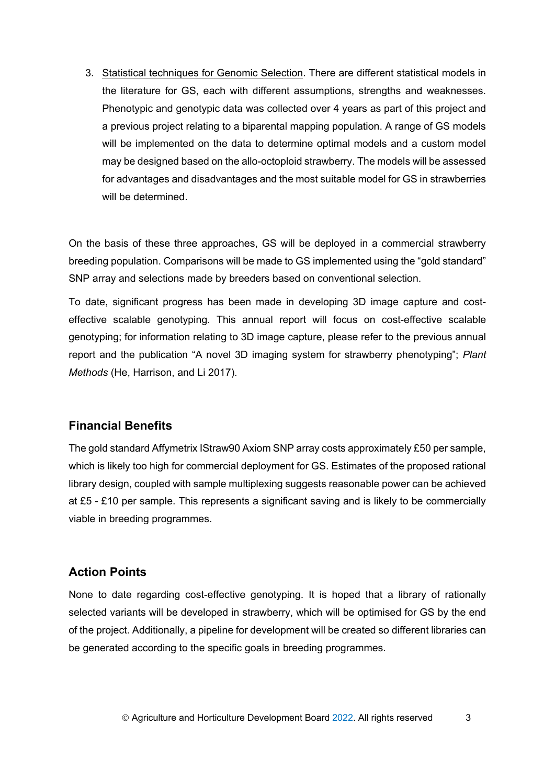3. Statistical techniques for Genomic Selection. There are different statistical models in the literature for GS, each with different assumptions, strengths and weaknesses. Phenotypic and genotypic data was collected over 4 years as part of this project and a previous project relating to a biparental mapping population. A range of GS models will be implemented on the data to determine optimal models and a custom model may be designed based on the allo-octoploid strawberry. The models will be assessed for advantages and disadvantages and the most suitable model for GS in strawberries will be determined.

On the basis of these three approaches, GS will be deployed in a commercial strawberry breeding population. Comparisons will be made to GS implemented using the "gold standard" SNP array and selections made by breeders based on conventional selection.

To date, significant progress has been made in developing 3D image capture and costeffective scalable genotyping. This annual report will focus on cost-effective scalable genotyping; for information relating to 3D image capture, please refer to the previous annual report and the publication "A novel 3D imaging system for strawberry phenotyping"; *Plant Methods* (He, Harrison, and Li 2017).

## <span id="page-6-0"></span>**Financial Benefits**

The gold standard Affymetrix IStraw90 Axiom SNP array costs approximately £50 per sample, which is likely too high for commercial deployment for GS. Estimates of the proposed rational library design, coupled with sample multiplexing suggests reasonable power can be achieved at £5 - £10 per sample. This represents a significant saving and is likely to be commercially viable in breeding programmes.

# <span id="page-6-1"></span>**Action Points**

None to date regarding cost-effective genotyping. It is hoped that a library of rationally selected variants will be developed in strawberry, which will be optimised for GS by the end of the project. Additionally, a pipeline for development will be created so different libraries can be generated according to the specific goals in breeding programmes.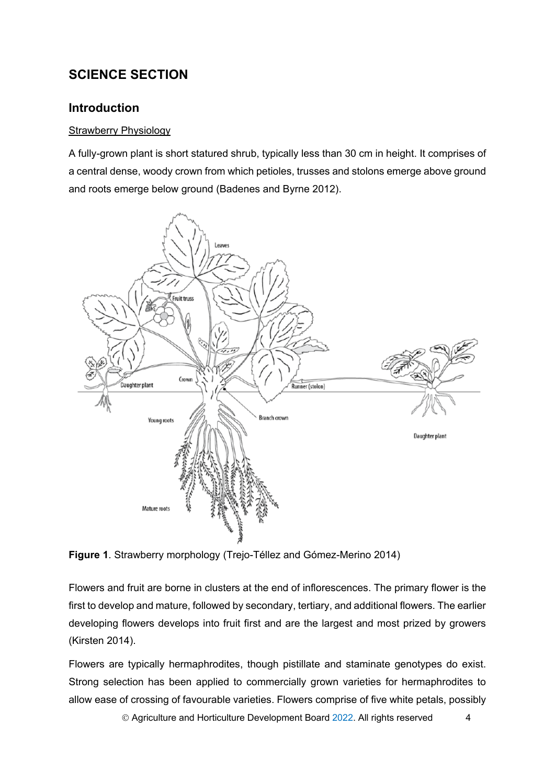# <span id="page-7-0"></span>**SCIENCE SECTION**

# <span id="page-7-1"></span>**Introduction**

## **Strawberry Physiology**

A fully-grown plant is short statured shrub, typically less than 30 cm in height. It comprises of a central dense, woody crown from which petioles, trusses and stolons emerge above ground and roots emerge below ground (Badenes and Byrne 2012).



**Figure 1**. Strawberry morphology (Trejo-Téllez and Gómez-Merino 2014)

Flowers and fruit are borne in clusters at the end of inflorescences. The primary flower is the first to develop and mature, followed by secondary, tertiary, and additional flowers. The earlier developing flowers develops into fruit first and are the largest and most prized by growers (Kirsten 2014).

Flowers are typically hermaphrodites, though pistillate and staminate genotypes do exist. Strong selection has been applied to commercially grown varieties for hermaphrodites to allow ease of crossing of favourable varieties. Flowers comprise of five white petals, possibly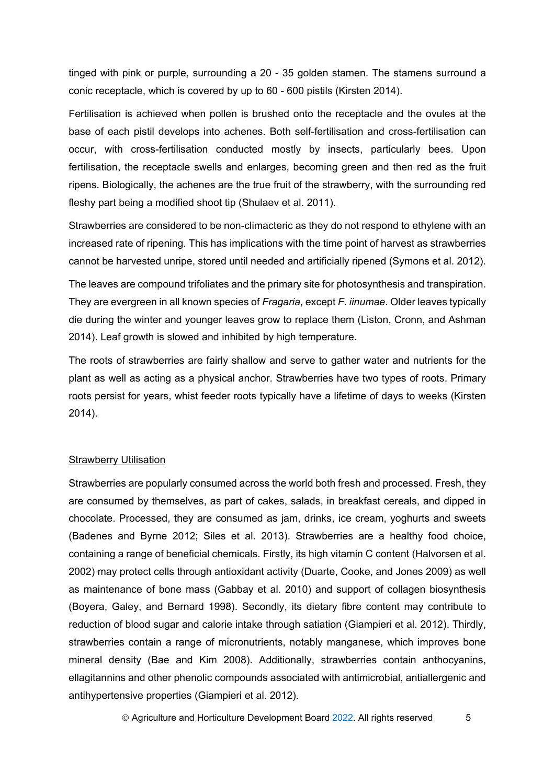tinged with pink or purple, surrounding a 20 - 35 golden stamen. The stamens surround a conic receptacle, which is covered by up to 60 - 600 pistils (Kirsten 2014).

Fertilisation is achieved when pollen is brushed onto the receptacle and the ovules at the base of each pistil develops into achenes. Both self-fertilisation and cross-fertilisation can occur, with cross-fertilisation conducted mostly by insects, particularly bees. Upon fertilisation, the receptacle swells and enlarges, becoming green and then red as the fruit ripens. Biologically, the achenes are the true fruit of the strawberry, with the surrounding red fleshy part being a modified shoot tip (Shulaev et al. 2011).

Strawberries are considered to be non-climacteric as they do not respond to ethylene with an increased rate of ripening. This has implications with the time point of harvest as strawberries cannot be harvested unripe, stored until needed and artificially ripened (Symons et al. 2012).

The leaves are compound trifoliates and the primary site for photosynthesis and transpiration. They are evergreen in all known species of *Fragaria*, except *F. iinumae*. Older leaves typically die during the winter and younger leaves grow to replace them (Liston, Cronn, and Ashman 2014). Leaf growth is slowed and inhibited by high temperature.

The roots of strawberries are fairly shallow and serve to gather water and nutrients for the plant as well as acting as a physical anchor. Strawberries have two types of roots. Primary roots persist for years, whist feeder roots typically have a lifetime of days to weeks (Kirsten 2014).

#### Strawberry Utilisation

Strawberries are popularly consumed across the world both fresh and processed. Fresh, they are consumed by themselves, as part of cakes, salads, in breakfast cereals, and dipped in chocolate. Processed, they are consumed as jam, drinks, ice cream, yoghurts and sweets (Badenes and Byrne 2012; Siles et al. 2013). Strawberries are a healthy food choice, containing a range of beneficial chemicals. Firstly, its high vitamin C content (Halvorsen et al. 2002) may protect cells through antioxidant activity (Duarte, Cooke, and Jones 2009) as well as maintenance of bone mass (Gabbay et al. 2010) and support of collagen biosynthesis (Boyera, Galey, and Bernard 1998). Secondly, its dietary fibre content may contribute to reduction of blood sugar and calorie intake through satiation (Giampieri et al. 2012). Thirdly, strawberries contain a range of micronutrients, notably manganese, which improves bone mineral density (Bae and Kim 2008). Additionally, strawberries contain anthocyanins, ellagitannins and other phenolic compounds associated with antimicrobial, antiallergenic and antihypertensive properties (Giampieri et al. 2012).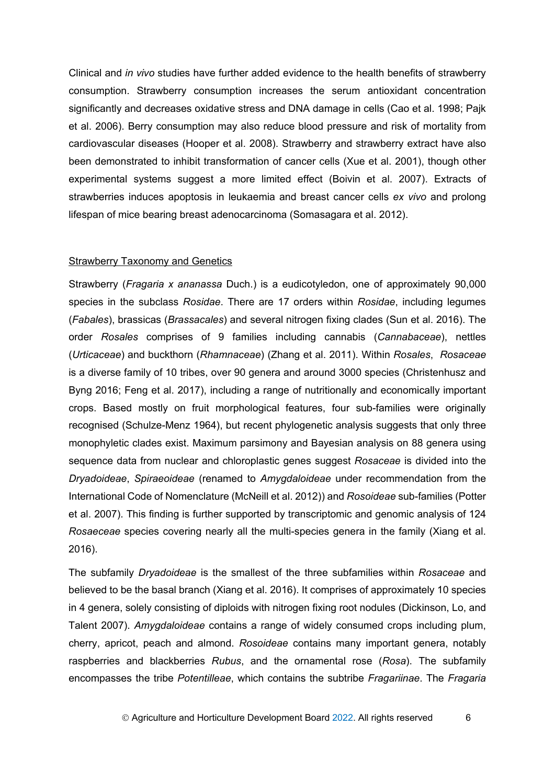Clinical and *in vivo* studies have further added evidence to the health benefits of strawberry consumption. Strawberry consumption increases the serum antioxidant concentration significantly and decreases oxidative stress and DNA damage in cells (Cao et al. 1998; Pajk et al. 2006). Berry consumption may also reduce blood pressure and risk of mortality from cardiovascular diseases (Hooper et al. 2008). Strawberry and strawberry extract have also been demonstrated to inhibit transformation of cancer cells (Xue et al. 2001), though other experimental systems suggest a more limited effect (Boivin et al. 2007). Extracts of strawberries induces apoptosis in leukaemia and breast cancer cells *ex vivo* and prolong lifespan of mice bearing breast adenocarcinoma (Somasagara et al. 2012).

#### Strawberry Taxonomy and Genetics

Strawberry (*Fragaria x ananassa* Duch.) is a eudicotyledon, one of approximately 90,000 species in the subclass *Rosidae*. There are 17 orders within *Rosidae*, including legumes (*Fabales*), brassicas (*Brassacales*) and several nitrogen fixing clades (Sun et al. 2016). The order *Rosales* comprises of 9 families including cannabis (*Cannabaceae*), nettles (*Urticaceae*) and buckthorn (*Rhamnaceae*) (Zhang et al. 2011). Within *Rosales*, *Rosaceae*  is a diverse family of 10 tribes, over 90 genera and around 3000 species (Christenhusz and Byng 2016; Feng et al. 2017), including a range of nutritionally and economically important crops. Based mostly on fruit morphological features, four sub-families were originally recognised (Schulze-Menz 1964), but recent phylogenetic analysis suggests that only three monophyletic clades exist. Maximum parsimony and Bayesian analysis on 88 genera using sequence data from nuclear and chloroplastic genes suggest *Rosaceae* is divided into the *Dryadoideae*, *Spiraeoideae* (renamed to *Amygdaloideae* under recommendation from the International Code of Nomenclature (McNeill et al. 2012)) and *Rosoideae* sub-families (Potter et al. 2007). This finding is further supported by transcriptomic and genomic analysis of 124 *Rosaeceae* species covering nearly all the multi-species genera in the family (Xiang et al. 2016).

The subfamily *Dryadoideae* is the smallest of the three subfamilies within *Rosaceae* and believed to be the basal branch (Xiang et al. 2016). It comprises of approximately 10 species in 4 genera, solely consisting of diploids with nitrogen fixing root nodules (Dickinson, Lo, and Talent 2007). *Amygdaloideae* contains a range of widely consumed crops including plum, cherry, apricot, peach and almond. *Rosoideae* contains many important genera, notably raspberries and blackberries *Rubus*, and the ornamental rose (*Rosa*). The subfamily encompasses the tribe *Potentilleae*, which contains the subtribe *Fragariinae*. The *Fragaria*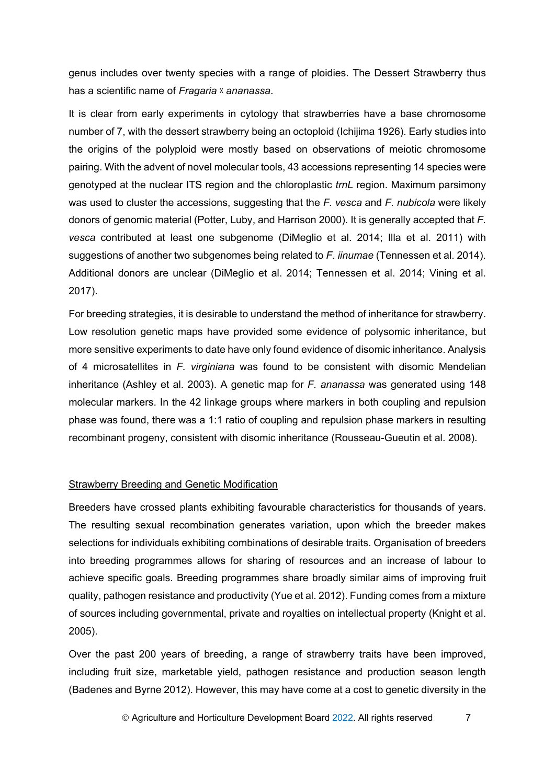genus includes over twenty species with a range of ploidies. The Dessert Strawberry thus has a scientific name of *Fragaria* ᵡ *ananassa*.

It is clear from early experiments in cytology that strawberries have a base chromosome number of 7, with the dessert strawberry being an octoploid (Ichijima 1926). Early studies into the origins of the polyploid were mostly based on observations of meiotic chromosome pairing. With the advent of novel molecular tools, 43 accessions representing 14 species were genotyped at the nuclear ITS region and the chloroplastic *trnL* region. Maximum parsimony was used to cluster the accessions, suggesting that the *F. vesca* and *F. nubicola* were likely donors of genomic material (Potter, Luby, and Harrison 2000). It is generally accepted that *F. vesca* contributed at least one subgenome (DiMeglio et al. 2014; Illa et al. 2011) with suggestions of another two subgenomes being related to *F. iinumae* (Tennessen et al. 2014). Additional donors are unclear (DiMeglio et al. 2014; Tennessen et al. 2014; Vining et al. 2017).

For breeding strategies, it is desirable to understand the method of inheritance for strawberry. Low resolution genetic maps have provided some evidence of polysomic inheritance, but more sensitive experiments to date have only found evidence of disomic inheritance. Analysis of 4 microsatellites in *F. virginiana* was found to be consistent with disomic Mendelian inheritance (Ashley et al. 2003). A genetic map for *F. ananassa* was generated using 148 molecular markers. In the 42 linkage groups where markers in both coupling and repulsion phase was found, there was a 1:1 ratio of coupling and repulsion phase markers in resulting recombinant progeny, consistent with disomic inheritance (Rousseau-Gueutin et al. 2008).

#### Strawberry Breeding and Genetic Modification

Breeders have crossed plants exhibiting favourable characteristics for thousands of years. The resulting sexual recombination generates variation, upon which the breeder makes selections for individuals exhibiting combinations of desirable traits. Organisation of breeders into breeding programmes allows for sharing of resources and an increase of labour to achieve specific goals. Breeding programmes share broadly similar aims of improving fruit quality, pathogen resistance and productivity (Yue et al. 2012). Funding comes from a mixture of sources including governmental, private and royalties on intellectual property (Knight et al. 2005).

Over the past 200 years of breeding, a range of strawberry traits have been improved, including fruit size, marketable yield, pathogen resistance and production season length (Badenes and Byrne 2012). However, this may have come at a cost to genetic diversity in the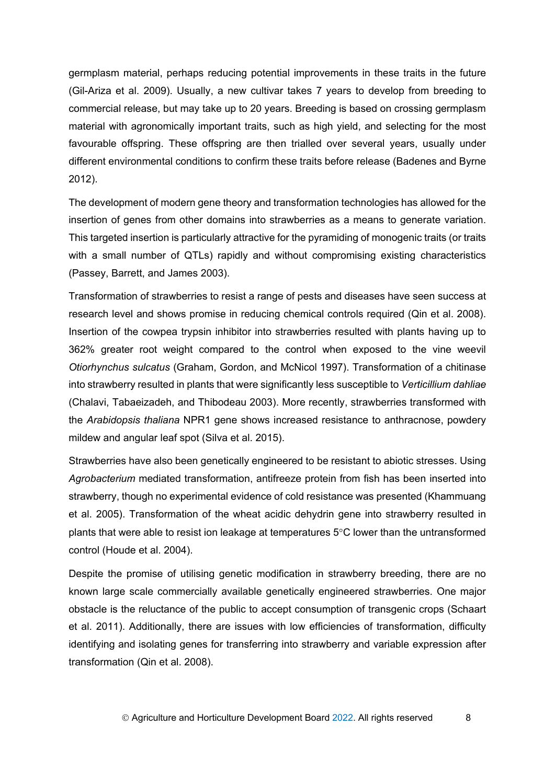germplasm material, perhaps reducing potential improvements in these traits in the future (Gil-Ariza et al. 2009). Usually, a new cultivar takes 7 years to develop from breeding to commercial release, but may take up to 20 years. Breeding is based on crossing germplasm material with agronomically important traits, such as high yield, and selecting for the most favourable offspring. These offspring are then trialled over several years, usually under different environmental conditions to confirm these traits before release (Badenes and Byrne 2012).

The development of modern gene theory and transformation technologies has allowed for the insertion of genes from other domains into strawberries as a means to generate variation. This targeted insertion is particularly attractive for the pyramiding of monogenic traits (or traits with a small number of QTLs) rapidly and without compromising existing characteristics (Passey, Barrett, and James 2003).

Transformation of strawberries to resist a range of pests and diseases have seen success at research level and shows promise in reducing chemical controls required (Qin et al. 2008). Insertion of the cowpea trypsin inhibitor into strawberries resulted with plants having up to 362% greater root weight compared to the control when exposed to the vine weevil *Otiorhynchus sulcatus* (Graham, Gordon, and McNicol 1997). Transformation of a chitinase into strawberry resulted in plants that were significantly less susceptible to *Verticillium dahliae* (Chalavi, Tabaeizadeh, and Thibodeau 2003). More recently, strawberries transformed with the *Arabidopsis thaliana* NPR1 gene shows increased resistance to anthracnose, powdery mildew and angular leaf spot (Silva et al. 2015).

Strawberries have also been genetically engineered to be resistant to abiotic stresses. Using *Agrobacterium* mediated transformation, antifreeze protein from fish has been inserted into strawberry, though no experimental evidence of cold resistance was presented (Khammuang et al. 2005). Transformation of the wheat acidic dehydrin gene into strawberry resulted in plants that were able to resist ion leakage at temperatures 5°C lower than the untransformed control (Houde et al. 2004).

Despite the promise of utilising genetic modification in strawberry breeding, there are no known large scale commercially available genetically engineered strawberries. One major obstacle is the reluctance of the public to accept consumption of transgenic crops (Schaart et al. 2011). Additionally, there are issues with low efficiencies of transformation, difficulty identifying and isolating genes for transferring into strawberry and variable expression after transformation (Qin et al. 2008).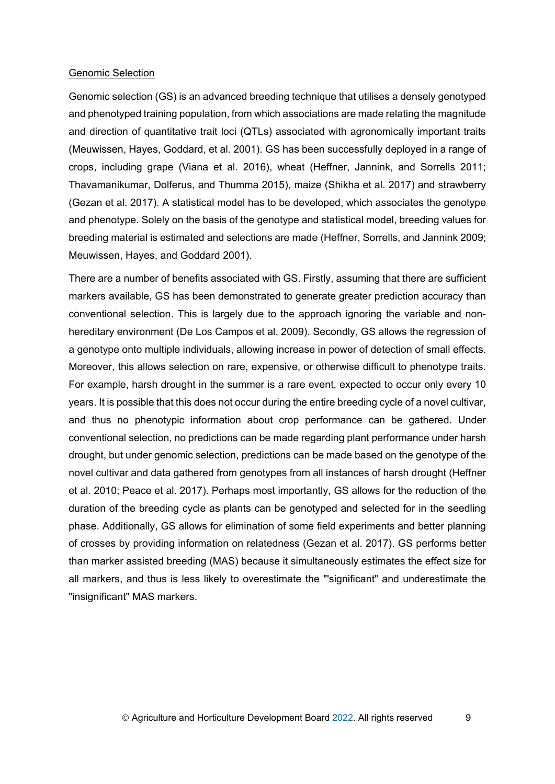#### Genomic Selection

Genomic selection (GS) is an advanced breeding technique that utilises a densely genotyped and phenotyped training population, from which associations are made relating the magnitude and direction of quantitative trait loci (QTLs) associated with agronomically important traits (Meuwissen, Hayes, Goddard, et al. 2001). GS has been successfully deployed in a range of crops, including grape (Viana et al. 2016), wheat (Heffner, Jannink, and Sorrells 2011; Thavamanikumar, Dolferus, and Thumma 2015), maize (Shikha et al. 2017) and strawberry (Gezan et al. 2017). A statistical model has to be developed, which associates the genotype and phenotype. Solely on the basis of the genotype and statistical model, breeding values for breeding material is estimated and selections are made (Heffner, Sorrells, and Jannink 2009; Meuwissen, Hayes, and Goddard 2001).

There are a number of benefits associated with GS. Firstly, assuming that there are sufficient markers available, GS has been demonstrated to generate greater prediction accuracy than conventional selection. This is largely due to the approach ignoring the variable and nonhereditary environment (De Los Campos et al. 2009). Secondly, GS allows the regression of a genotype onto multiple individuals, allowing increase in power of detection of small effects. Moreover, this allows selection on rare, expensive, or otherwise difficult to phenotype traits. For example, harsh drought in the summer is a rare event, expected to occur only every 10 years. It is possible that this does not occur during the entire breeding cycle of a novel cultivar, and thus no phenotypic information about crop performance can be gathered. Under conventional selection, no predictions can be made regarding plant performance under harsh drought, but under genomic selection, predictions can be made based on the genotype of the novel cultivar and data gathered from genotypes from all instances of harsh drought (Heffner et al. 2010; Peace et al. 2017). Perhaps most importantly, GS allows for the reduction of the duration of the breeding cycle as plants can be genotyped and selected for in the seedling phase. Additionally, GS allows for elimination of some field experiments and better planning of crosses by providing information on relatedness (Gezan et al. 2017). GS performs better than marker assisted breeding (MAS) because it simultaneously estimates the effect size for all markers, and thus is less likely to overestimate the "'significant" and underestimate the "insignificant" MAS markers.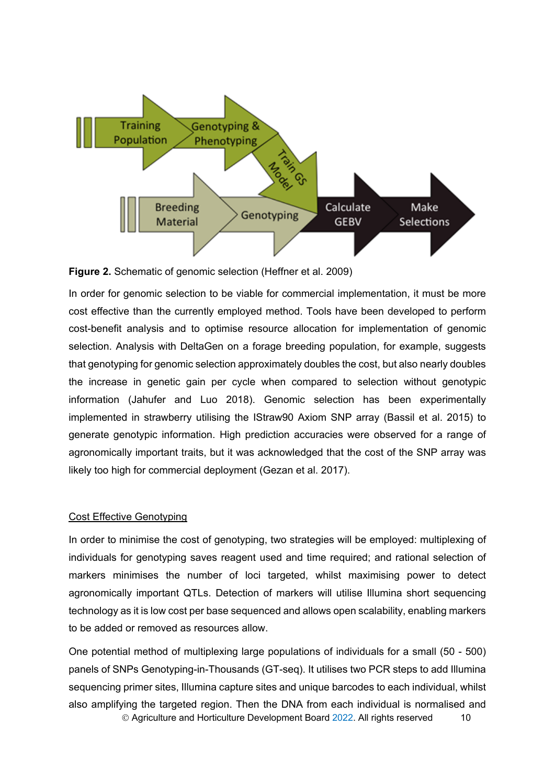

**Figure 2.** Schematic of genomic selection (Heffner et al. 2009)

In order for genomic selection to be viable for commercial implementation, it must be more cost effective than the currently employed method. Tools have been developed to perform cost-benefit analysis and to optimise resource allocation for implementation of genomic selection. Analysis with DeltaGen on a forage breeding population, for example, suggests that genotyping for genomic selection approximately doubles the cost, but also nearly doubles the increase in genetic gain per cycle when compared to selection without genotypic information (Jahufer and Luo 2018). Genomic selection has been experimentally implemented in strawberry utilising the IStraw90 Axiom SNP array (Bassil et al. 2015) to generate genotypic information. High prediction accuracies were observed for a range of agronomically important traits, but it was acknowledged that the cost of the SNP array was likely too high for commercial deployment (Gezan et al. 2017).

### Cost Effective Genotyping

In order to minimise the cost of genotyping, two strategies will be employed: multiplexing of individuals for genotyping saves reagent used and time required; and rational selection of markers minimises the number of loci targeted, whilst maximising power to detect agronomically important QTLs. Detection of markers will utilise Illumina short sequencing technology as it is low cost per base sequenced and allows open scalability, enabling markers to be added or removed as resources allow.

© Agriculture and Horticulture Development Board 2022. All rights reserved 10 One potential method of multiplexing large populations of individuals for a small (50 - 500) panels of SNPs Genotyping-in-Thousands (GT-seq). It utilises two PCR steps to add Illumina sequencing primer sites, Illumina capture sites and unique barcodes to each individual, whilst also amplifying the targeted region. Then the DNA from each individual is normalised and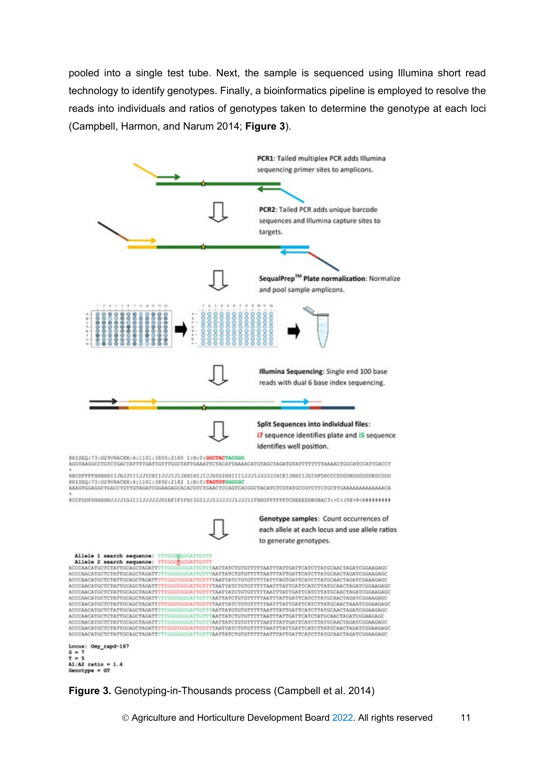pooled into a single test tube. Next, the sample is sequenced using Illumina short read technology to identify genotypes. Finally, a bioinformatics pipeline is employed to resolve the reads into individuals and ratios of genotypes taken to determine the genotype at each loci (Campbell, Harmon, and Narum 2014; **Figure 3**).



**Figure 3.** Genotyping-in-Thousands process (Campbell et al. 2014)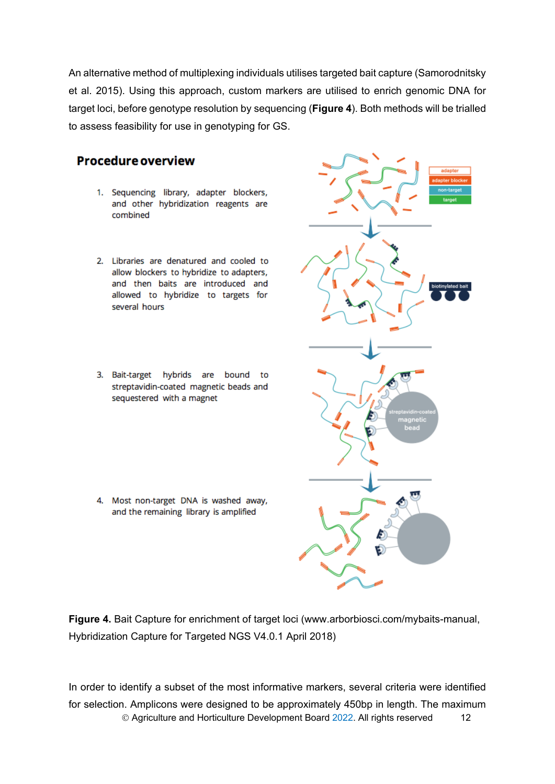An alternative method of multiplexing individuals utilises targeted bait capture (Samorodnitsky et al. 2015). Using this approach, custom markers are utilised to enrich genomic DNA for target loci, before genotype resolution by sequencing (**[Figure 4](#page-15-0)**). Both methods will be trialled to assess feasibility for use in genotyping for GS.

# **Procedure overview**

- 1. Sequencing library, adapter blockers, and other hybridization reagents are combined
- 2. Libraries are denatured and cooled to allow blockers to hybridize to adapters, and then baits are introduced and allowed to hybridize to targets for several hours
- 3. Bait-target hybrids are bound to streptavidin-coated magnetic beads and sequestered with a magnet

4. Most non-target DNA is washed away, and the remaining library is amplified

<span id="page-15-0"></span>**Figure 4.** Bait Capture for enrichment of target loci (www.arborbiosci.com/mybaits-manual, Hybridization Capture for Targeted NGS V4.0.1 April 2018)

© Agriculture and Horticulture Development Board 2022. All rights reserved 12 In order to identify a subset of the most informative markers, several criteria were identified for selection. Amplicons were designed to be approximately 450bp in length. The maximum

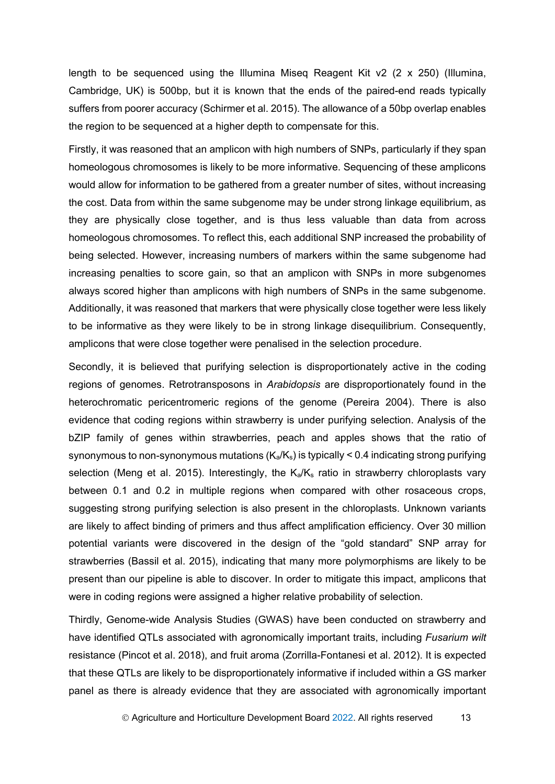length to be sequenced using the Illumina Miseg Reagent Kit  $v^2$  (2 x 250) (Illumina, Cambridge, UK) is 500bp, but it is known that the ends of the paired-end reads typically suffers from poorer accuracy (Schirmer et al. 2015). The allowance of a 50bp overlap enables the region to be sequenced at a higher depth to compensate for this.

Firstly, it was reasoned that an amplicon with high numbers of SNPs, particularly if they span homeologous chromosomes is likely to be more informative. Sequencing of these amplicons would allow for information to be gathered from a greater number of sites, without increasing the cost. Data from within the same subgenome may be under strong linkage equilibrium, as they are physically close together, and is thus less valuable than data from across homeologous chromosomes. To reflect this, each additional SNP increased the probability of being selected. However, increasing numbers of markers within the same subgenome had increasing penalties to score gain, so that an amplicon with SNPs in more subgenomes always scored higher than amplicons with high numbers of SNPs in the same subgenome. Additionally, it was reasoned that markers that were physically close together were less likely to be informative as they were likely to be in strong linkage disequilibrium. Consequently, amplicons that were close together were penalised in the selection procedure.

Secondly, it is believed that purifying selection is disproportionately active in the coding regions of genomes. Retrotransposons in *Arabidopsis* are disproportionately found in the heterochromatic pericentromeric regions of the genome (Pereira 2004). There is also evidence that coding regions within strawberry is under purifying selection. Analysis of the bZIP family of genes within strawberries, peach and apples shows that the ratio of synonymous to non-synonymous mutations  $(K_a/K_s)$  is typically < 0.4 indicating strong purifying selection (Meng et al. 2015). Interestingly, the  $K_a/K_s$  ratio in strawberry chloroplasts vary between 0.1 and 0.2 in multiple regions when compared with other rosaceous crops, suggesting strong purifying selection is also present in the chloroplasts. Unknown variants are likely to affect binding of primers and thus affect amplification efficiency. Over 30 million potential variants were discovered in the design of the "gold standard" SNP array for strawberries (Bassil et al. 2015), indicating that many more polymorphisms are likely to be present than our pipeline is able to discover. In order to mitigate this impact, amplicons that were in coding regions were assigned a higher relative probability of selection.

Thirdly, Genome-wide Analysis Studies (GWAS) have been conducted on strawberry and have identified QTLs associated with agronomically important traits, including *Fusarium wilt* resistance (Pincot et al. 2018), and fruit aroma (Zorrilla-Fontanesi et al. 2012). It is expected that these QTLs are likely to be disproportionately informative if included within a GS marker panel as there is already evidence that they are associated with agronomically important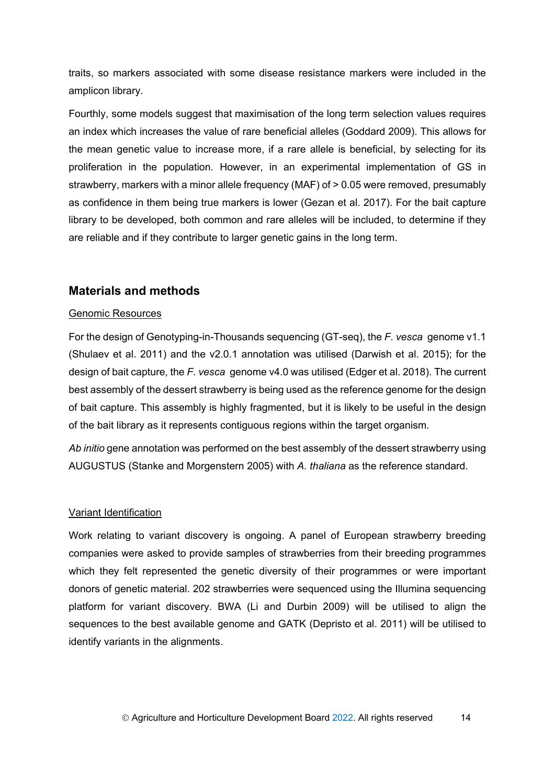traits, so markers associated with some disease resistance markers were included in the amplicon library.

Fourthly, some models suggest that maximisation of the long term selection values requires an index which increases the value of rare beneficial alleles (Goddard 2009). This allows for the mean genetic value to increase more, if a rare allele is beneficial, by selecting for its proliferation in the population. However, in an experimental implementation of GS in strawberry, markers with a minor allele frequency (MAF) of > 0.05 were removed, presumably as confidence in them being true markers is lower (Gezan et al. 2017). For the bait capture library to be developed, both common and rare alleles will be included, to determine if they are reliable and if they contribute to larger genetic gains in the long term.

## <span id="page-17-0"></span>**Materials and methods**

### Genomic Resources

For the design of Genotyping-in-Thousands sequencing (GT-seq), the *F. vesca* genome v1.1 (Shulaev et al. 2011) and the v2.0.1 annotation was utilised (Darwish et al. 2015); for the design of bait capture, the *F. vesca* genome v4.0 was utilised (Edger et al. 2018). The current best assembly of the dessert strawberry is being used as the reference genome for the design of bait capture. This assembly is highly fragmented, but it is likely to be useful in the design of the bait library as it represents contiguous regions within the target organism.

*Ab initio* gene annotation was performed on the best assembly of the dessert strawberry using AUGUSTUS (Stanke and Morgenstern 2005) with *A. thaliana* as the reference standard.

### Variant Identification

Work relating to variant discovery is ongoing. A panel of European strawberry breeding companies were asked to provide samples of strawberries from their breeding programmes which they felt represented the genetic diversity of their programmes or were important donors of genetic material. 202 strawberries were sequenced using the Illumina sequencing platform for variant discovery. BWA (Li and Durbin 2009) will be utilised to align the sequences to the best available genome and GATK (Depristo et al. 2011) will be utilised to identify variants in the alignments.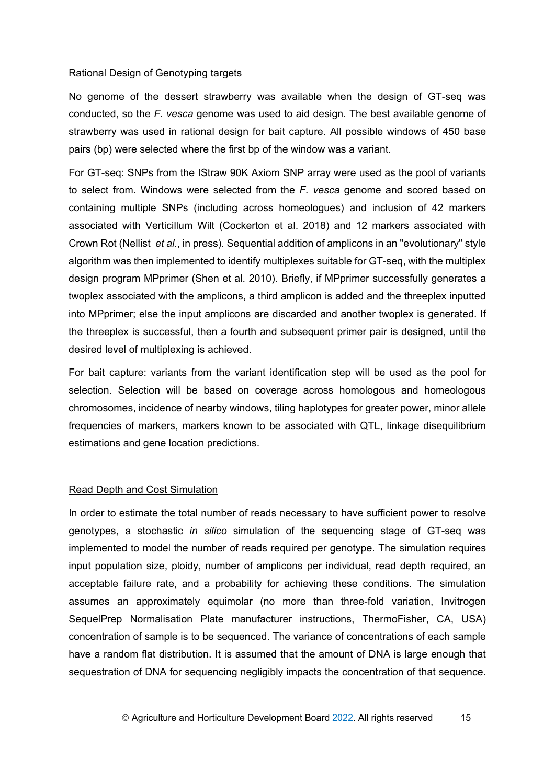#### Rational Design of Genotyping targets

No genome of the dessert strawberry was available when the design of GT-seq was conducted, so the *F. vesca* genome was used to aid design. The best available genome of strawberry was used in rational design for bait capture. All possible windows of 450 base pairs (bp) were selected where the first bp of the window was a variant.

For GT-seq: SNPs from the IStraw 90K Axiom SNP array were used as the pool of variants to select from. Windows were selected from the *F. vesca* genome and scored based on containing multiple SNPs (including across homeologues) and inclusion of 42 markers associated with Verticillum Wilt (Cockerton et al. 2018) and 12 markers associated with Crown Rot (Nellist *et al.*, in press). Sequential addition of amplicons in an "evolutionary" style algorithm was then implemented to identify multiplexes suitable for GT-seq, with the multiplex design program MPprimer (Shen et al. 2010). Briefly, if MPprimer successfully generates a twoplex associated with the amplicons, a third amplicon is added and the threeplex inputted into MPprimer; else the input amplicons are discarded and another twoplex is generated. If the threeplex is successful, then a fourth and subsequent primer pair is designed, until the desired level of multiplexing is achieved.

For bait capture: variants from the variant identification step will be used as the pool for selection. Selection will be based on coverage across homologous and homeologous chromosomes, incidence of nearby windows, tiling haplotypes for greater power, minor allele frequencies of markers, markers known to be associated with QTL, linkage disequilibrium estimations and gene location predictions.

#### Read Depth and Cost Simulation

In order to estimate the total number of reads necessary to have sufficient power to resolve genotypes, a stochastic *in silico* simulation of the sequencing stage of GT-seq was implemented to model the number of reads required per genotype. The simulation requires input population size, ploidy, number of amplicons per individual, read depth required, an acceptable failure rate, and a probability for achieving these conditions. The simulation assumes an approximately equimolar (no more than three-fold variation, Invitrogen SequelPrep Normalisation Plate manufacturer instructions, ThermoFisher, CA, USA) concentration of sample is to be sequenced. The variance of concentrations of each sample have a random flat distribution. It is assumed that the amount of DNA is large enough that sequestration of DNA for sequencing negligibly impacts the concentration of that sequence.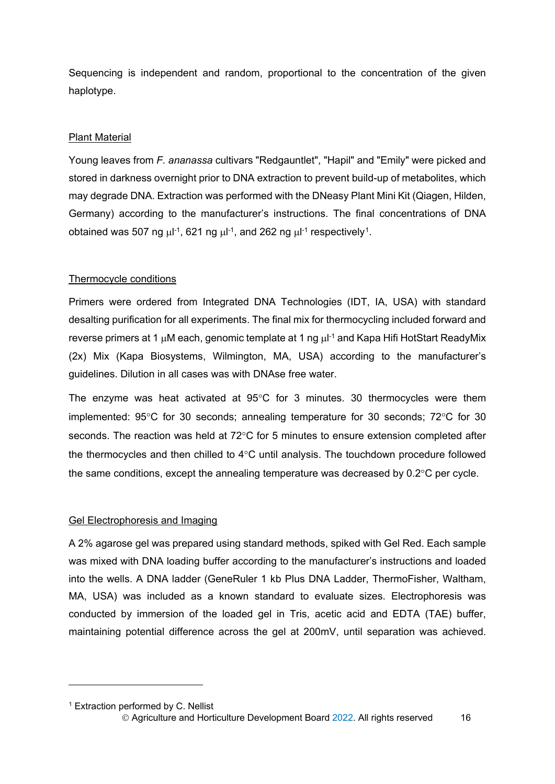Sequencing is independent and random, proportional to the concentration of the given haplotype.

### **Plant Material**

Young leaves from *F. ananassa* cultivars "Redgauntlet", "Hapil" and "Emily" were picked and stored in darkness overnight prior to DNA extraction to prevent build-up of metabolites, which may degrade DNA. Extraction was performed with the DNeasy Plant Mini Kit (Qiagen, Hilden, Germany) according to the manufacturer's instructions. The final concentrations of DNA obtained was 507 ng  $\mu$ l<sup>-1</sup>, 621 ng  $\mu$ l<sup>-1</sup>, and 262 ng  $\mu$ l<sup>-1</sup> respectively<sup>1</sup>.

#### Thermocycle conditions

Primers were ordered from Integrated DNA Technologies (IDT, IA, USA) with standard desalting purification for all experiments. The final mix for thermocycling included forward and reverse primers at 1 μM each, genomic template at 1 ng μl<sup>-1</sup> and Kapa Hifi HotStart ReadyMix (2x) Mix (Kapa Biosystems, Wilmington, MA, USA) according to the manufacturer's guidelines. Dilution in all cases was with DNAse free water.

The enzyme was heat activated at 95°C for 3 minutes. 30 thermocycles were them implemented: 95°C for 30 seconds; annealing temperature for 30 seconds; 72°C for 30 seconds. The reaction was held at 72°C for 5 minutes to ensure extension completed after the thermocycles and then chilled to 4°C until analysis. The touchdown procedure followed the same conditions, except the annealing temperature was decreased by 0.2°C per cycle.

#### Gel Electrophoresis and Imaging

A 2% agarose gel was prepared using standard methods, spiked with Gel Red. Each sample was mixed with DNA loading buffer according to the manufacturer's instructions and loaded into the wells. A DNA ladder (GeneRuler 1 kb Plus DNA Ladder, ThermoFisher, Waltham, MA, USA) was included as a known standard to evaluate sizes. Electrophoresis was conducted by immersion of the loaded gel in Tris, acetic acid and EDTA (TAE) buffer, maintaining potential difference across the gel at 200mV, until separation was achieved.

<span id="page-19-0"></span><sup>&</sup>lt;sup>1</sup> Extraction performed by C. Nellist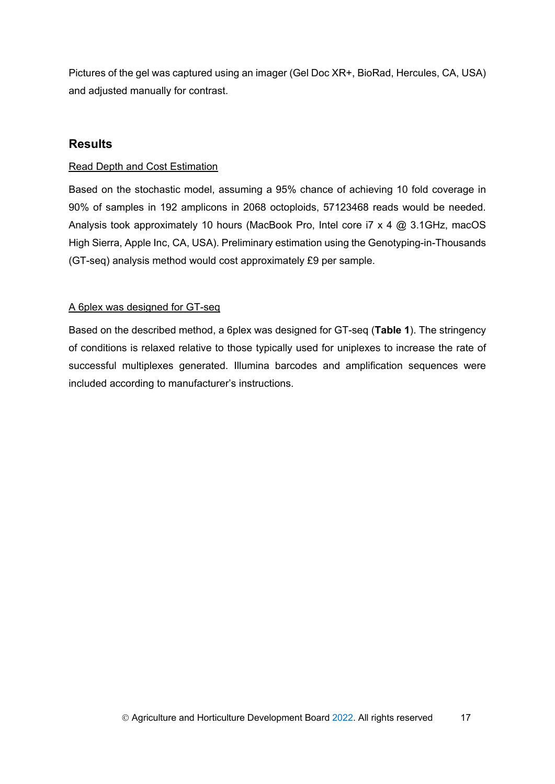Pictures of the gel was captured using an imager (Gel Doc XR+, BioRad, Hercules, CA, USA) and adjusted manually for contrast.

## <span id="page-20-0"></span>**Results**

## Read Depth and Cost Estimation

Based on the stochastic model, assuming a 95% chance of achieving 10 fold coverage in 90% of samples in 192 amplicons in 2068 octoploids, 57123468 reads would be needed. Analysis took approximately 10 hours (MacBook Pro, Intel core i7 x 4 @ 3.1GHz, macOS High Sierra, Apple Inc, CA, USA). Preliminary estimation using the Genotyping-in-Thousands (GT-seq) analysis method would cost approximately £9 per sample.

## A 6plex was designed for GT-seq

Based on the described method, a 6plex was designed for GT-seq (**Table 1**). The stringency of conditions is relaxed relative to those typically used for uniplexes to increase the rate of successful multiplexes generated. Illumina barcodes and amplification sequences were included according to manufacturer's instructions.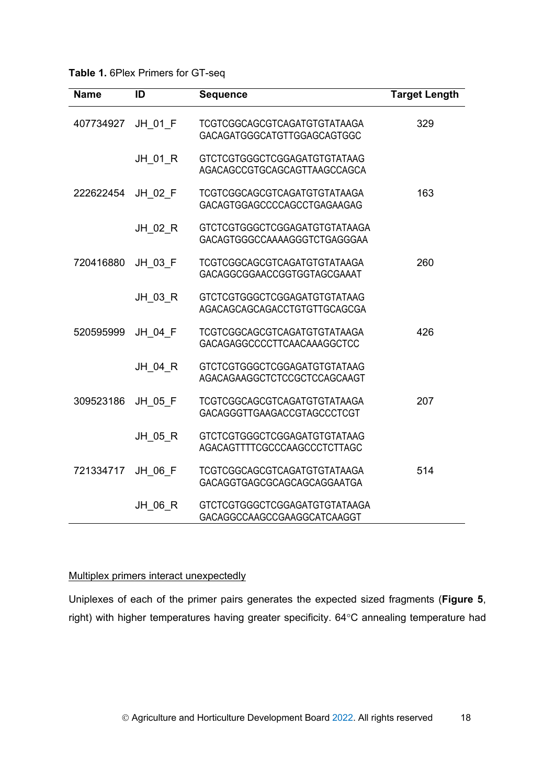**Table 1.** 6Plex Primers for GT-seq

| <b>Name</b> | ID      | <b>Sequence</b>                                                     | <b>Target Length</b> |
|-------------|---------|---------------------------------------------------------------------|----------------------|
| 407734927   | JH 01 F | <b>TCGTCGGCAGCGTCAGATGTGTATAAGA</b><br>GACAGATGGGCATGTTGGAGCAGTGGC  | 329                  |
|             | JH 01 R | <b>GTCTCGTGGGCTCGGAGATGTGTATAAG</b><br>AGACAGCCGTGCAGCAGTTAAGCCAGCA |                      |
| 222622454   | JH 02 F | TCGTCGGCAGCGTCAGATGTGTATAAGA<br>GACAGTGGAGCCCCAGCCTGAGAAGAG         | 163                  |
|             | JH 02 R | GTCTCGTGGGCTCGGAGATGTGTATAAGA<br>GACAGTGGGCCAAAAGGGTCTGAGGGAA       |                      |
| 720416880   | JH 03 F | TCGTCGGCAGCGTCAGATGTGTATAAGA<br>GACAGGCGGAACCGGTGGTAGCGAAAT         | 260                  |
|             | JH 03 R | GTCTCGTGGGCTCGGAGATGTGTATAAG<br>AGACAGCAGCAGACCTGTGTTGCAGCGA        |                      |
| 520595999   | JH 04 F | TCGTCGGCAGCGTCAGATGTGTATAAGA<br>GACAGAGGCCCCTTCAACAAAGGCTCC         | 426                  |
|             | JH 04 R | GTCTCGTGGGCTCGGAGATGTGTATAAG<br>AGACAGAAGGCTCTCCGCTCCAGCAAGT        |                      |
| 309523186   | JH 05 F | TCGTCGGCAGCGTCAGATGTGTATAAGA<br>GACAGGGTTGAAGACCGTAGCCCTCGT         | 207                  |
|             | JH 05 R | GTCTCGTGGGCTCGGAGATGTGTATAAG<br>AGACAGTTTTCGCCCAAGCCCTCTTAGC        |                      |
| 721334717   | JH 06 F | TCGTCGGCAGCGTCAGATGTGTATAAGA<br>GACAGGTGAGCGCAGCAGCAGGAATGA         | 514                  |
|             | JH 06 R | GTCTCGTGGGCTCGGAGATGTGTATAAGA<br>GACAGGCCAAGCCGAAGGCATCAAGGT        |                      |

## Multiplex primers interact unexpectedly

Uniplexes of each of the primer pairs generates the expected sized fragments (**[Figure 5](#page-22-0)**, right) with higher temperatures having greater specificity. 64°C annealing temperature had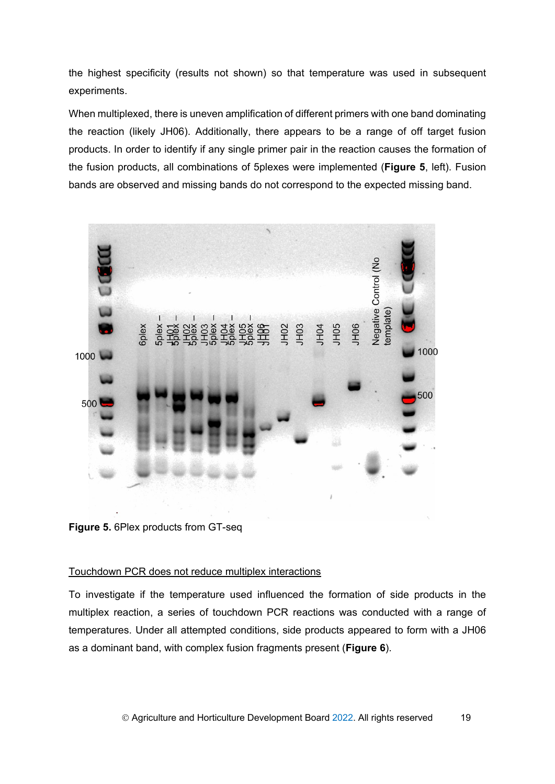the highest specificity (results not shown) so that temperature was used in subsequent experiments.

When multiplexed, there is uneven amplification of different primers with one band dominating the reaction (likely JH06). Additionally, there appears to be a range of off target fusion products. In order to identify if any single primer pair in the reaction causes the formation of the fusion products, all combinations of 5plexes were implemented (**[Figure 5](#page-22-0)**, left). Fusion bands are observed and missing bands do not correspond to the expected missing band.



**Figure 5.** 6Plex products from GT-seq

#### <span id="page-22-0"></span>Touchdown PCR does not reduce multiplex interactions

To investigate if the temperature used influenced the formation of side products in the multiplex reaction, a series of touchdown PCR reactions was conducted with a range of temperatures. Under all attempted conditions, side products appeared to form with a JH06 as a dominant band, with complex fusion fragments present (**[Figure 6](#page-23-1)**).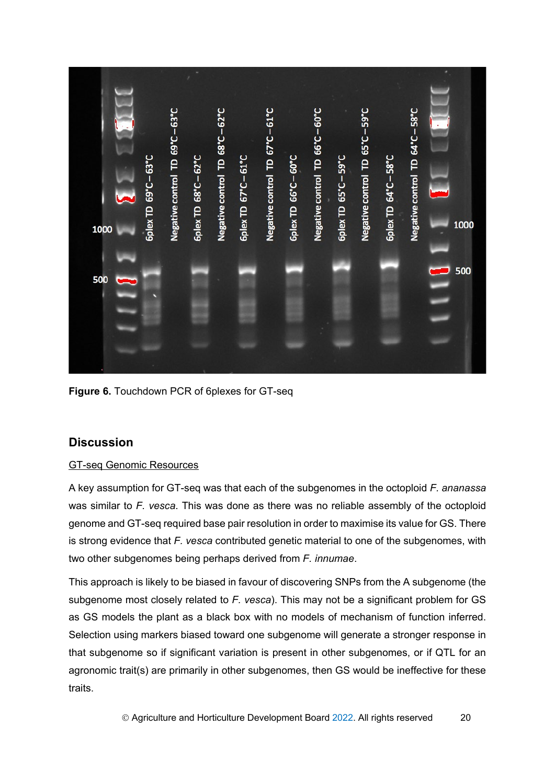

**Figure 6.** Touchdown PCR of 6plexes for GT-seq

# <span id="page-23-1"></span><span id="page-23-0"></span>**Discussion**

## GT-seq Genomic Resources

A key assumption for GT-seq was that each of the subgenomes in the octoploid *F. ananassa* was similar to *F. vesca*. This was done as there was no reliable assembly of the octoploid genome and GT-seq required base pair resolution in order to maximise its value for GS. There is strong evidence that *F. vesca* contributed genetic material to one of the subgenomes, with two other subgenomes being perhaps derived from *F. innumae*.

This approach is likely to be biased in favour of discovering SNPs from the A subgenome (the subgenome most closely related to *F. vesca*). This may not be a significant problem for GS as GS models the plant as a black box with no models of mechanism of function inferred. Selection using markers biased toward one subgenome will generate a stronger response in that subgenome so if significant variation is present in other subgenomes, or if QTL for an agronomic trait(s) are primarily in other subgenomes, then GS would be ineffective for these traits.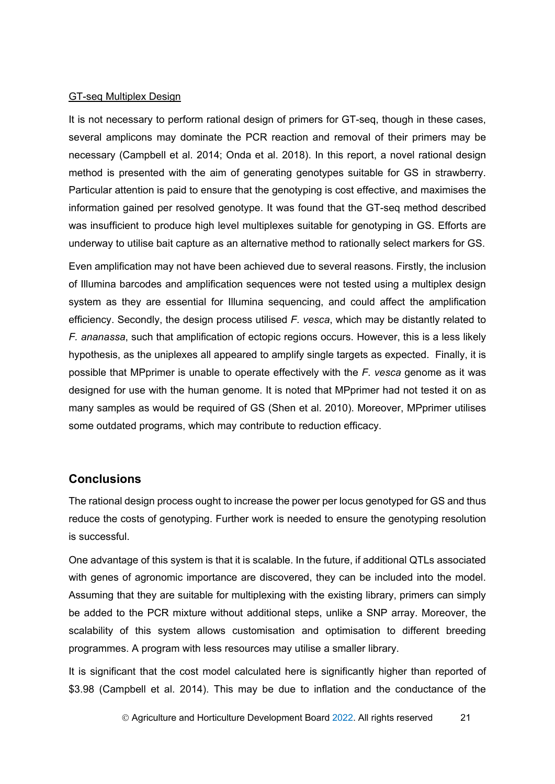#### GT-seq Multiplex Design

It is not necessary to perform rational design of primers for GT-seq, though in these cases, several amplicons may dominate the PCR reaction and removal of their primers may be necessary (Campbell et al. 2014; Onda et al. 2018). In this report, a novel rational design method is presented with the aim of generating genotypes suitable for GS in strawberry. Particular attention is paid to ensure that the genotyping is cost effective, and maximises the information gained per resolved genotype. It was found that the GT-seq method described was insufficient to produce high level multiplexes suitable for genotyping in GS. Efforts are underway to utilise bait capture as an alternative method to rationally select markers for GS.

Even amplification may not have been achieved due to several reasons. Firstly, the inclusion of Illumina barcodes and amplification sequences were not tested using a multiplex design system as they are essential for Illumina sequencing, and could affect the amplification efficiency. Secondly, the design process utilised *F. vesca*, which may be distantly related to *F. ananassa*, such that amplification of ectopic regions occurs. However, this is a less likely hypothesis, as the uniplexes all appeared to amplify single targets as expected. Finally, it is possible that MPprimer is unable to operate effectively with the *F. vesca* genome as it was designed for use with the human genome. It is noted that MPprimer had not tested it on as many samples as would be required of GS (Shen et al. 2010). Moreover, MPprimer utilises some outdated programs, which may contribute to reduction efficacy.

### <span id="page-24-0"></span>**Conclusions**

The rational design process ought to increase the power per locus genotyped for GS and thus reduce the costs of genotyping. Further work is needed to ensure the genotyping resolution is successful.

One advantage of this system is that it is scalable. In the future, if additional QTLs associated with genes of agronomic importance are discovered, they can be included into the model. Assuming that they are suitable for multiplexing with the existing library, primers can simply be added to the PCR mixture without additional steps, unlike a SNP array. Moreover, the scalability of this system allows customisation and optimisation to different breeding programmes. A program with less resources may utilise a smaller library.

It is significant that the cost model calculated here is significantly higher than reported of \$3.98 (Campbell et al. 2014). This may be due to inflation and the conductance of the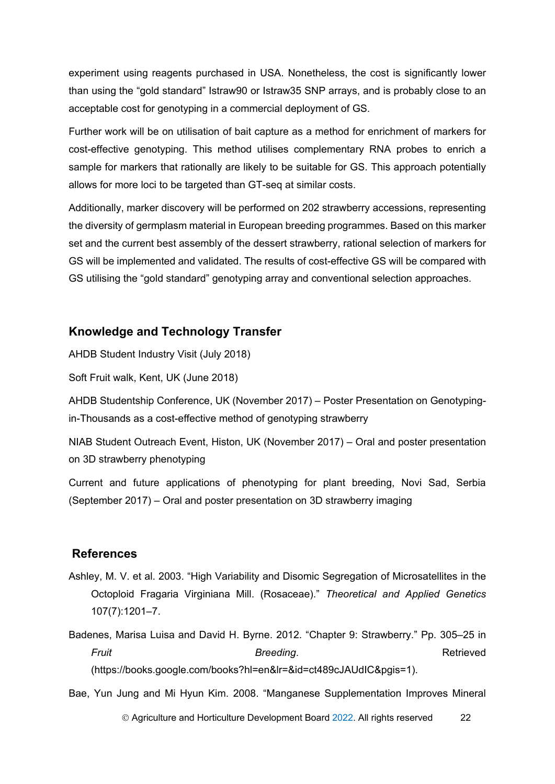experiment using reagents purchased in USA. Nonetheless, the cost is significantly lower than using the "gold standard" Istraw90 or Istraw35 SNP arrays, and is probably close to an acceptable cost for genotyping in a commercial deployment of GS.

Further work will be on utilisation of bait capture as a method for enrichment of markers for cost-effective genotyping. This method utilises complementary RNA probes to enrich a sample for markers that rationally are likely to be suitable for GS. This approach potentially allows for more loci to be targeted than GT-seq at similar costs.

Additionally, marker discovery will be performed on 202 strawberry accessions, representing the diversity of germplasm material in European breeding programmes. Based on this marker set and the current best assembly of the dessert strawberry, rational selection of markers for GS will be implemented and validated. The results of cost-effective GS will be compared with GS utilising the "gold standard" genotyping array and conventional selection approaches.

## <span id="page-25-0"></span>**Knowledge and Technology Transfer**

AHDB Student Industry Visit (July 2018)

Soft Fruit walk, Kent, UK (June 2018)

AHDB Studentship Conference, UK (November 2017) – Poster Presentation on Genotypingin-Thousands as a cost-effective method of genotyping strawberry

NIAB Student Outreach Event, Histon, UK (November 2017) – Oral and poster presentation on 3D strawberry phenotyping

Current and future applications of phenotyping for plant breeding, Novi Sad, Serbia (September 2017) – Oral and poster presentation on 3D strawberry imaging

## <span id="page-25-1"></span>**References**

Ashley, M. V. et al. 2003. "High Variability and Disomic Segregation of Microsatellites in the Octoploid Fragaria Virginiana Mill. (Rosaceae)." *Theoretical and Applied Genetics* 107(7):1201–7.

Badenes, Marisa Luisa and David H. Byrne. 2012. "Chapter 9: Strawberry." Pp. 305–25 in *Fruit* Retrieved (https://books.google.com/books?hl=en&lr=&id=ct489cJAUdIC&pgis=1).

Bae, Yun Jung and Mi Hyun Kim. 2008. "Manganese Supplementation Improves Mineral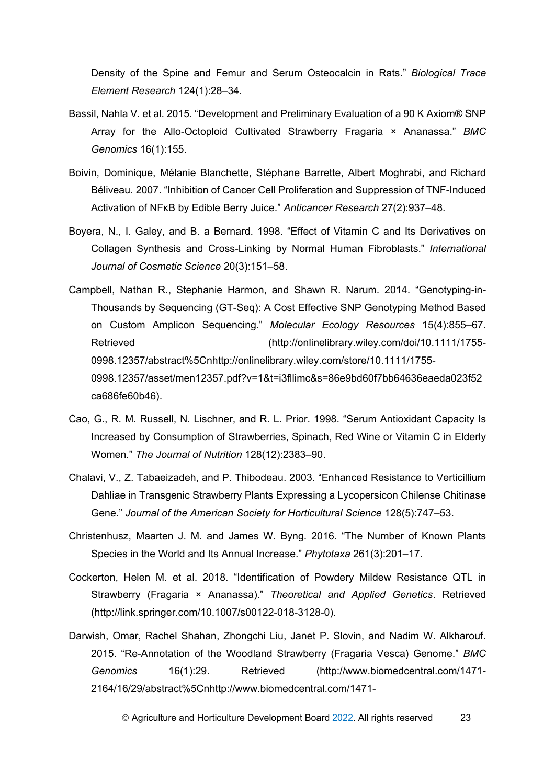Density of the Spine and Femur and Serum Osteocalcin in Rats." *Biological Trace Element Research* 124(1):28–34.

- Bassil, Nahla V. et al. 2015. "Development and Preliminary Evaluation of a 90 K Axiom® SNP Array for the Allo-Octoploid Cultivated Strawberry Fragaria × Ananassa." *BMC Genomics* 16(1):155.
- Boivin, Dominique, Mélanie Blanchette, Stéphane Barrette, Albert Moghrabi, and Richard Béliveau. 2007. "Inhibition of Cancer Cell Proliferation and Suppression of TNF-Induced Activation of NFκB by Edible Berry Juice." *Anticancer Research* 27(2):937–48.
- Boyera, N., I. Galey, and B. a Bernard. 1998. "Effect of Vitamin C and Its Derivatives on Collagen Synthesis and Cross-Linking by Normal Human Fibroblasts." *International Journal of Cosmetic Science* 20(3):151–58.
- Campbell, Nathan R., Stephanie Harmon, and Shawn R. Narum. 2014. "Genotyping-in-Thousands by Sequencing (GT-Seq): A Cost Effective SNP Genotyping Method Based on Custom Amplicon Sequencing." *Molecular Ecology Resources* 15(4):855–67. Retrieved (http://onlinelibrary.wiley.com/doi/10.1111/1755- 0998.12357/abstract%5Cnhttp://onlinelibrary.wiley.com/store/10.1111/1755- 0998.12357/asset/men12357.pdf?v=1&t=i3fllimc&s=86e9bd60f7bb64636eaeda023f52 ca686fe60b46).
- Cao, G., R. M. Russell, N. Lischner, and R. L. Prior. 1998. "Serum Antioxidant Capacity Is Increased by Consumption of Strawberries, Spinach, Red Wine or Vitamin C in Elderly Women." *The Journal of Nutrition* 128(12):2383–90.
- Chalavi, V., Z. Tabaeizadeh, and P. Thibodeau. 2003. "Enhanced Resistance to Verticillium Dahliae in Transgenic Strawberry Plants Expressing a Lycopersicon Chilense Chitinase Gene." *Journal of the American Society for Horticultural Science* 128(5):747–53.
- Christenhusz, Maarten J. M. and James W. Byng. 2016. "The Number of Known Plants Species in the World and Its Annual Increase." *Phytotaxa* 261(3):201–17.
- Cockerton, Helen M. et al. 2018. "Identification of Powdery Mildew Resistance QTL in Strawberry (Fragaria × Ananassa)." *Theoretical and Applied Genetics*. Retrieved (http://link.springer.com/10.1007/s00122-018-3128-0).
- Darwish, Omar, Rachel Shahan, Zhongchi Liu, Janet P. Slovin, and Nadim W. Alkharouf. 2015. "Re-Annotation of the Woodland Strawberry (Fragaria Vesca) Genome." *BMC Genomics* 16(1):29. Retrieved (http://www.biomedcentral.com/1471- 2164/16/29/abstract%5Cnhttp://www.biomedcentral.com/1471-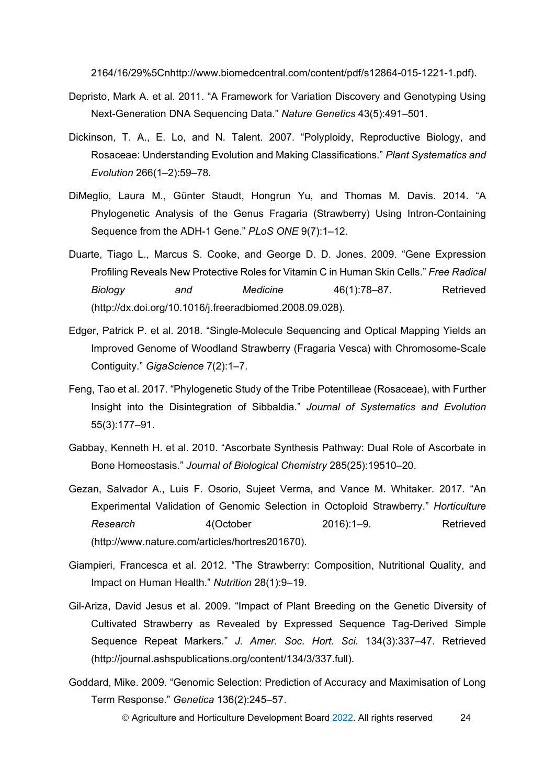2164/16/29%5Cnhttp://www.biomedcentral.com/content/pdf/s12864-015-1221-1.pdf).

- Depristo, Mark A. et al. 2011. "A Framework for Variation Discovery and Genotyping Using Next-Generation DNA Sequencing Data." *Nature Genetics* 43(5):491–501.
- Dickinson, T. A., E. Lo, and N. Talent. 2007. "Polyploidy, Reproductive Biology, and Rosaceae: Understanding Evolution and Making Classifications." *Plant Systematics and Evolution* 266(1–2):59–78.
- DiMeglio, Laura M., Günter Staudt, Hongrun Yu, and Thomas M. Davis. 2014. "A Phylogenetic Analysis of the Genus Fragaria (Strawberry) Using Intron-Containing Sequence from the ADH-1 Gene." *PLoS ONE* 9(7):1–12.
- Duarte, Tiago L., Marcus S. Cooke, and George D. D. Jones. 2009. "Gene Expression Profiling Reveals New Protective Roles for Vitamin C in Human Skin Cells." *Free Radical Biology and Medicine* 46(1):78–87. Retrieved (http://dx.doi.org/10.1016/j.freeradbiomed.2008.09.028).
- Edger, Patrick P. et al. 2018. "Single-Molecule Sequencing and Optical Mapping Yields an Improved Genome of Woodland Strawberry (Fragaria Vesca) with Chromosome-Scale Contiguity." *GigaScience* 7(2):1–7.
- Feng, Tao et al. 2017. "Phylogenetic Study of the Tribe Potentilleae (Rosaceae), with Further Insight into the Disintegration of Sibbaldia." *Journal of Systematics and Evolution* 55(3):177–91.
- Gabbay, Kenneth H. et al. 2010. "Ascorbate Synthesis Pathway: Dual Role of Ascorbate in Bone Homeostasis." *Journal of Biological Chemistry* 285(25):19510–20.
- Gezan, Salvador A., Luis F. Osorio, Sujeet Verma, and Vance M. Whitaker. 2017. "An Experimental Validation of Genomic Selection in Octoploid Strawberry." *Horticulture Research* 4(October 2016):1–9. Retrieved (http://www.nature.com/articles/hortres201670).
- Giampieri, Francesca et al. 2012. "The Strawberry: Composition, Nutritional Quality, and Impact on Human Health." *Nutrition* 28(1):9–19.
- Gil-Ariza, David Jesus et al. 2009. "Impact of Plant Breeding on the Genetic Diversity of Cultivated Strawberry as Revealed by Expressed Sequence Tag-Derived Simple Sequence Repeat Markers." *J. Amer. Soc. Hort. Sci.* 134(3):337–47. Retrieved (http://journal.ashspublications.org/content/134/3/337.full).
- Goddard, Mike. 2009. "Genomic Selection: Prediction of Accuracy and Maximisation of Long Term Response." *Genetica* 136(2):245–57.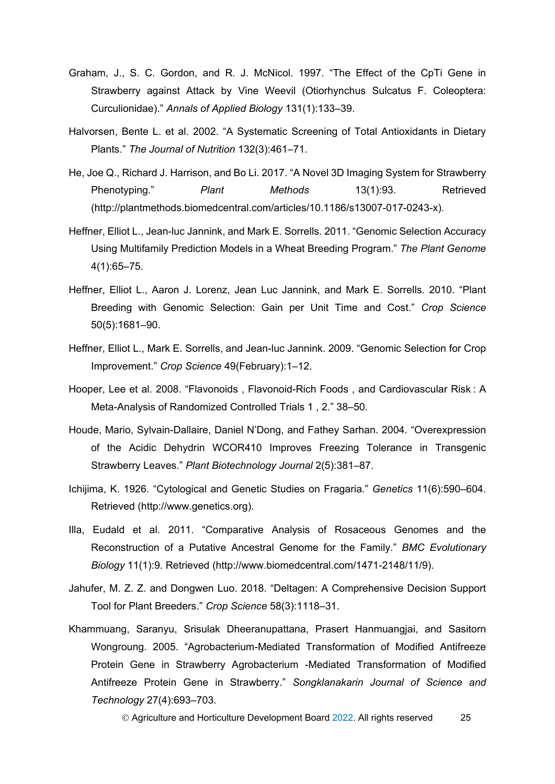- Graham, J., S. C. Gordon, and R. J. McNicol. 1997. "The Effect of the CpTi Gene in Strawberry against Attack by Vine Weevil (Otiorhynchus Sulcatus F. Coleoptera: Curculionidae)." *Annals of Applied Biology* 131(1):133–39.
- Halvorsen, Bente L. et al. 2002. "A Systematic Screening of Total Antioxidants in Dietary Plants." *The Journal of Nutrition* 132(3):461–71.
- He, Joe Q., Richard J. Harrison, and Bo Li. 2017. "A Novel 3D Imaging System for Strawberry Phenotyping." *Plant Methods* 13(1):93. Retrieved (http://plantmethods.biomedcentral.com/articles/10.1186/s13007-017-0243-x).
- Heffner, Elliot L., Jean-luc Jannink, and Mark E. Sorrells. 2011. "Genomic Selection Accuracy Using Multifamily Prediction Models in a Wheat Breeding Program." *The Plant Genome* 4(1):65–75.
- Heffner, Elliot L., Aaron J. Lorenz, Jean Luc Jannink, and Mark E. Sorrells. 2010. "Plant Breeding with Genomic Selection: Gain per Unit Time and Cost." *Crop Science* 50(5):1681–90.
- Heffner, Elliot L., Mark E. Sorrells, and Jean-luc Jannink. 2009. "Genomic Selection for Crop Improvement." *Crop Science* 49(February):1–12.
- Hooper, Lee et al. 2008. "Flavonoids , Flavonoid-Rich Foods , and Cardiovascular Risk : A Meta-Analysis of Randomized Controlled Trials 1 , 2." 38–50.
- Houde, Mario, Sylvain-Dallaire, Daniel N'Dong, and Fathey Sarhan. 2004. "Overexpression of the Acidic Dehydrin WCOR410 Improves Freezing Tolerance in Transgenic Strawberry Leaves." *Plant Biotechnology Journal* 2(5):381–87.
- Ichijima, K. 1926. "Cytological and Genetic Studies on Fragaria." *Genetics* 11(6):590–604. Retrieved (http://www.genetics.org).
- Illa, Eudald et al. 2011. "Comparative Analysis of Rosaceous Genomes and the Reconstruction of a Putative Ancestral Genome for the Family." *BMC Evolutionary Biology* 11(1):9. Retrieved (http://www.biomedcentral.com/1471-2148/11/9).
- Jahufer, M. Z. Z. and Dongwen Luo. 2018. "Deltagen: A Comprehensive Decision Support Tool for Plant Breeders." *Crop Science* 58(3):1118–31.
- Khammuang, Saranyu, Srisulak Dheeranupattana, Prasert Hanmuangjai, and Sasitorn Wongroung. 2005. "Agrobacterium-Mediated Transformation of Modified Antifreeze Protein Gene in Strawberry Agrobacterium -Mediated Transformation of Modified Antifreeze Protein Gene in Strawberry." *Songklanakarin Journal of Science and Technology* 27(4):693–703.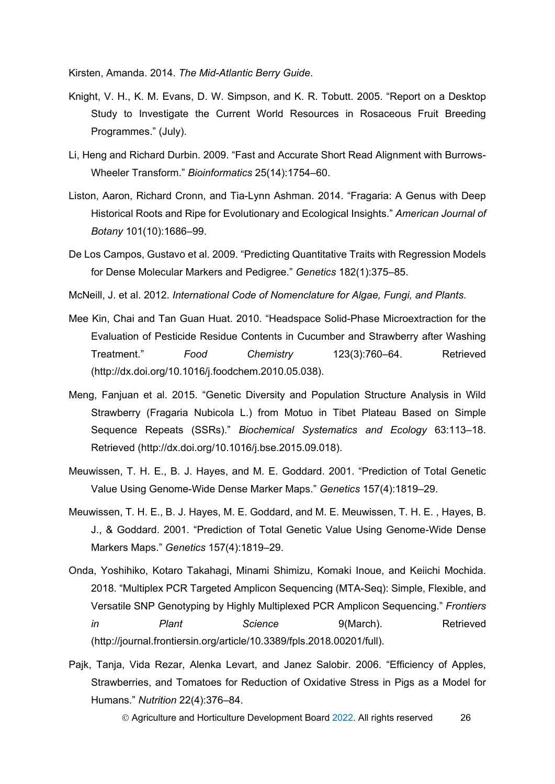Kirsten, Amanda. 2014. *The Mid-Atlantic Berry Guide*.

- Knight, V. H., K. M. Evans, D. W. Simpson, and K. R. Tobutt. 2005. "Report on a Desktop Study to Investigate the Current World Resources in Rosaceous Fruit Breeding Programmes." (July).
- Li, Heng and Richard Durbin. 2009. "Fast and Accurate Short Read Alignment with Burrows-Wheeler Transform." *Bioinformatics* 25(14):1754–60.
- Liston, Aaron, Richard Cronn, and Tia-Lynn Ashman. 2014. "Fragaria: A Genus with Deep Historical Roots and Ripe for Evolutionary and Ecological Insights." *American Journal of Botany* 101(10):1686–99.
- De Los Campos, Gustavo et al. 2009. "Predicting Quantitative Traits with Regression Models for Dense Molecular Markers and Pedigree." *Genetics* 182(1):375–85.
- McNeill, J. et al. 2012. *International Code of Nomenclature for Algae, Fungi, and Plants*.
- Mee Kin, Chai and Tan Guan Huat. 2010. "Headspace Solid-Phase Microextraction for the Evaluation of Pesticide Residue Contents in Cucumber and Strawberry after Washing Treatment." *Food Chemistry* 123(3):760–64. Retrieved (http://dx.doi.org/10.1016/j.foodchem.2010.05.038).
- Meng, Fanjuan et al. 2015. "Genetic Diversity and Population Structure Analysis in Wild Strawberry (Fragaria Nubicola L.) from Motuo in Tibet Plateau Based on Simple Sequence Repeats (SSRs)." *Biochemical Systematics and Ecology* 63:113–18. Retrieved (http://dx.doi.org/10.1016/j.bse.2015.09.018).
- Meuwissen, T. H. E., B. J. Hayes, and M. E. Goddard. 2001. "Prediction of Total Genetic Value Using Genome-Wide Dense Marker Maps." *Genetics* 157(4):1819–29.
- Meuwissen, T. H. E., B. J. Hayes, M. E. Goddard, and M. E. Meuwissen, T. H. E. , Hayes, B. J., & Goddard. 2001. "Prediction of Total Genetic Value Using Genome-Wide Dense Markers Maps." *Genetics* 157(4):1819–29.
- Onda, Yoshihiko, Kotaro Takahagi, Minami Shimizu, Komaki Inoue, and Keiichi Mochida. 2018. "Multiplex PCR Targeted Amplicon Sequencing (MTA-Seq): Simple, Flexible, and Versatile SNP Genotyping by Highly Multiplexed PCR Amplicon Sequencing." *Frontiers in Plant Science* 9(March). Retrieved (http://journal.frontiersin.org/article/10.3389/fpls.2018.00201/full).
- Pajk, Tanja, Vida Rezar, Alenka Levart, and Janez Salobir. 2006. "Efficiency of Apples, Strawberries, and Tomatoes for Reduction of Oxidative Stress in Pigs as a Model for Humans." *Nutrition* 22(4):376–84.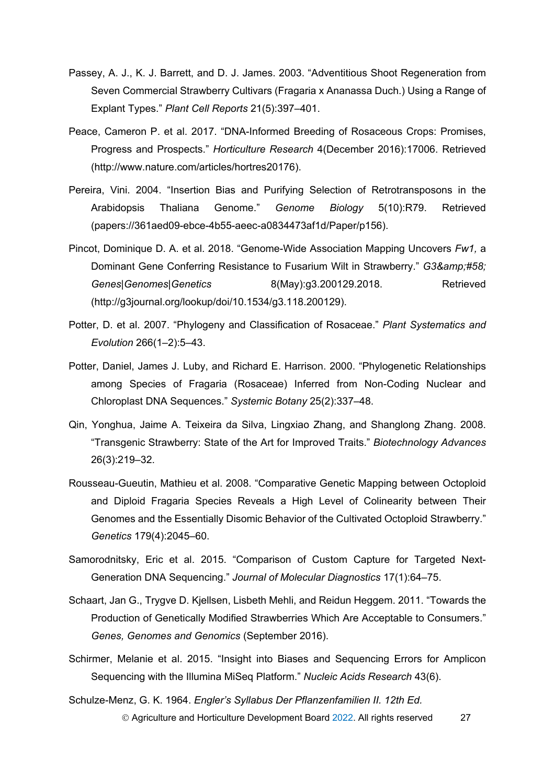- Passey, A. J., K. J. Barrett, and D. J. James. 2003. "Adventitious Shoot Regeneration from Seven Commercial Strawberry Cultivars (Fragaria x Ananassa Duch.) Using a Range of Explant Types." *Plant Cell Reports* 21(5):397–401.
- Peace, Cameron P. et al. 2017. "DNA-Informed Breeding of Rosaceous Crops: Promises, Progress and Prospects." *Horticulture Research* 4(December 2016):17006. Retrieved (http://www.nature.com/articles/hortres20176).
- Pereira, Vini. 2004. "Insertion Bias and Purifying Selection of Retrotransposons in the Arabidopsis Thaliana Genome." *Genome Biology* 5(10):R79. Retrieved (papers://361aed09-ebce-4b55-aeec-a0834473af1d/Paper/p156).
- Pincot, Dominique D. A. et al. 2018. "Genome-Wide Association Mapping Uncovers *Fw1,* a Dominant Gene Conferring Resistance to Fusarium Wilt in Strawberry." *G3: Genes|Genomes|Genetics* 8(May):g3.200129.2018. Retrieved (http://g3journal.org/lookup/doi/10.1534/g3.118.200129).
- Potter, D. et al. 2007. "Phylogeny and Classification of Rosaceae." *Plant Systematics and Evolution* 266(1–2):5–43.
- Potter, Daniel, James J. Luby, and Richard E. Harrison. 2000. "Phylogenetic Relationships among Species of Fragaria (Rosaceae) Inferred from Non-Coding Nuclear and Chloroplast DNA Sequences." *Systemic Botany* 25(2):337–48.
- Qin, Yonghua, Jaime A. Teixeira da Silva, Lingxiao Zhang, and Shanglong Zhang. 2008. "Transgenic Strawberry: State of the Art for Improved Traits." *Biotechnology Advances* 26(3):219–32.
- Rousseau-Gueutin, Mathieu et al. 2008. "Comparative Genetic Mapping between Octoploid and Diploid Fragaria Species Reveals a High Level of Colinearity between Their Genomes and the Essentially Disomic Behavior of the Cultivated Octoploid Strawberry." *Genetics* 179(4):2045–60.
- Samorodnitsky, Eric et al. 2015. "Comparison of Custom Capture for Targeted Next-Generation DNA Sequencing." *Journal of Molecular Diagnostics* 17(1):64–75.
- Schaart, Jan G., Trygve D. Kjellsen, Lisbeth Mehli, and Reidun Heggem. 2011. "Towards the Production of Genetically Modified Strawberries Which Are Acceptable to Consumers." *Genes, Genomes and Genomics* (September 2016).
- Schirmer, Melanie et al. 2015. "Insight into Biases and Sequencing Errors for Amplicon Sequencing with the Illumina MiSeq Platform." *Nucleic Acids Research* 43(6).
- © Agriculture and Horticulture Development Board 2022. All rights reserved 27 Schulze-Menz, G. K. 1964. *Engler's Syllabus Der Pflanzenfamilien II. 12th Ed.*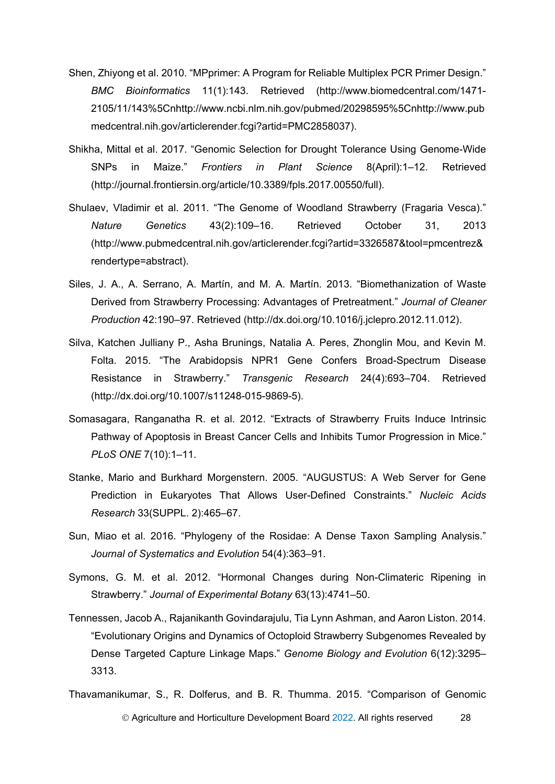- Shen, Zhiyong et al. 2010. "MPprimer: A Program for Reliable Multiplex PCR Primer Design." *BMC Bioinformatics* 11(1):143. Retrieved (http://www.biomedcentral.com/1471- 2105/11/143%5Cnhttp://www.ncbi.nlm.nih.gov/pubmed/20298595%5Cnhttp://www.pub medcentral.nih.gov/articlerender.fcgi?artid=PMC2858037).
- Shikha, Mittal et al. 2017. "Genomic Selection for Drought Tolerance Using Genome-Wide SNPs in Maize." *Frontiers in Plant Science* 8(April):1–12. Retrieved (http://journal.frontiersin.org/article/10.3389/fpls.2017.00550/full).
- Shulaev, Vladimir et al. 2011. "The Genome of Woodland Strawberry (Fragaria Vesca)." *Nature Genetics* 43(2):109–16. Retrieved October 31, 2013 (http://www.pubmedcentral.nih.gov/articlerender.fcgi?artid=3326587&tool=pmcentrez& rendertype=abstract).
- Siles, J. A., A. Serrano, A. Martín, and M. A. Martín. 2013. "Biomethanization of Waste Derived from Strawberry Processing: Advantages of Pretreatment." *Journal of Cleaner Production* 42:190–97. Retrieved (http://dx.doi.org/10.1016/j.jclepro.2012.11.012).
- Silva, Katchen Julliany P., Asha Brunings, Natalia A. Peres, Zhonglin Mou, and Kevin M. Folta. 2015. "The Arabidopsis NPR1 Gene Confers Broad-Spectrum Disease Resistance in Strawberry." *Transgenic Research* 24(4):693–704. Retrieved (http://dx.doi.org/10.1007/s11248-015-9869-5).
- Somasagara, Ranganatha R. et al. 2012. "Extracts of Strawberry Fruits Induce Intrinsic Pathway of Apoptosis in Breast Cancer Cells and Inhibits Tumor Progression in Mice." *PLoS ONE* 7(10):1–11.
- Stanke, Mario and Burkhard Morgenstern. 2005. "AUGUSTUS: A Web Server for Gene Prediction in Eukaryotes That Allows User-Defined Constraints." *Nucleic Acids Research* 33(SUPPL. 2):465–67.
- Sun, Miao et al. 2016. "Phylogeny of the Rosidae: A Dense Taxon Sampling Analysis." *Journal of Systematics and Evolution* 54(4):363–91.
- Symons, G. M. et al. 2012. "Hormonal Changes during Non-Climateric Ripening in Strawberry." *Journal of Experimental Botany* 63(13):4741–50.
- Tennessen, Jacob A., Rajanikanth Govindarajulu, Tia Lynn Ashman, and Aaron Liston. 2014. "Evolutionary Origins and Dynamics of Octoploid Strawberry Subgenomes Revealed by Dense Targeted Capture Linkage Maps." *Genome Biology and Evolution* 6(12):3295– 3313.
- Agriculture and Horticulture Development Board 2022. All rights reserved 28 Thavamanikumar, S., R. Dolferus, and B. R. Thumma. 2015. "Comparison of Genomic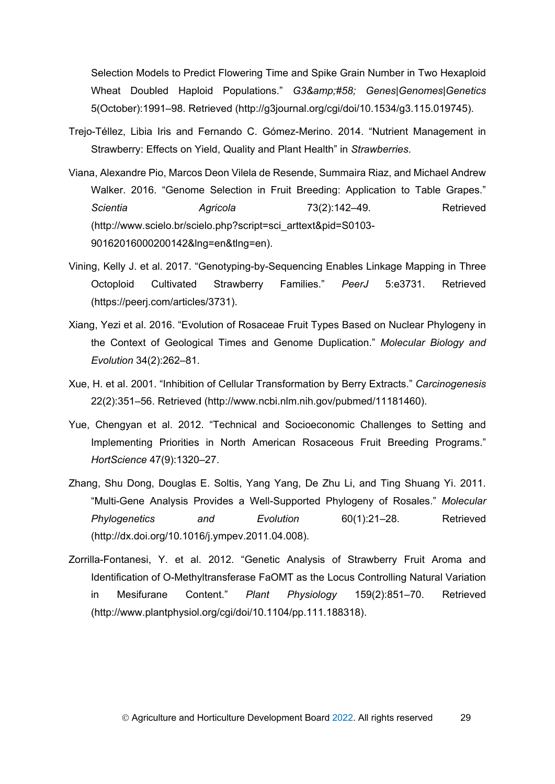Selection Models to Predict Flowering Time and Spike Grain Number in Two Hexaploid Wheat Doubled Haploid Populations." *G3&amp*:#58: *Genes|Genomes|Genetics* 5(October):1991–98. Retrieved (http://g3journal.org/cgi/doi/10.1534/g3.115.019745).

- Trejo-Téllez, Libia Iris and Fernando C. Gómez-Merino. 2014. "Nutrient Management in Strawberry: Effects on Yield, Quality and Plant Health" in *Strawberries*.
- Viana, Alexandre Pio, Marcos Deon Vilela de Resende, Summaira Riaz, and Michael Andrew Walker. 2016. "Genome Selection in Fruit Breeding: Application to Table Grapes." *Scientia Agricola* 73(2):142–49. Retrieved (http://www.scielo.br/scielo.php?script=sci\_arttext&pid=S0103- 90162016000200142&lng=en&tlng=en).
- Vining, Kelly J. et al. 2017. "Genotyping-by-Sequencing Enables Linkage Mapping in Three Octoploid Cultivated Strawberry Families." *PeerJ* 5:e3731. Retrieved (https://peerj.com/articles/3731).
- Xiang, Yezi et al. 2016. "Evolution of Rosaceae Fruit Types Based on Nuclear Phylogeny in the Context of Geological Times and Genome Duplication." *Molecular Biology and Evolution* 34(2):262–81.
- Xue, H. et al. 2001. "Inhibition of Cellular Transformation by Berry Extracts." *Carcinogenesis* 22(2):351–56. Retrieved (http://www.ncbi.nlm.nih.gov/pubmed/11181460).
- Yue, Chengyan et al. 2012. "Technical and Socioeconomic Challenges to Setting and Implementing Priorities in North American Rosaceous Fruit Breeding Programs." *HortScience* 47(9):1320–27.
- Zhang, Shu Dong, Douglas E. Soltis, Yang Yang, De Zhu Li, and Ting Shuang Yi. 2011. "Multi-Gene Analysis Provides a Well-Supported Phylogeny of Rosales." *Molecular Phylogenetics and Evolution* 60(1):21–28. Retrieved (http://dx.doi.org/10.1016/j.ympev.2011.04.008).
- Zorrilla-Fontanesi, Y. et al. 2012. "Genetic Analysis of Strawberry Fruit Aroma and Identification of O-Methyltransferase FaOMT as the Locus Controlling Natural Variation in Mesifurane Content." *Plant Physiology* 159(2):851–70. Retrieved (http://www.plantphysiol.org/cgi/doi/10.1104/pp.111.188318).